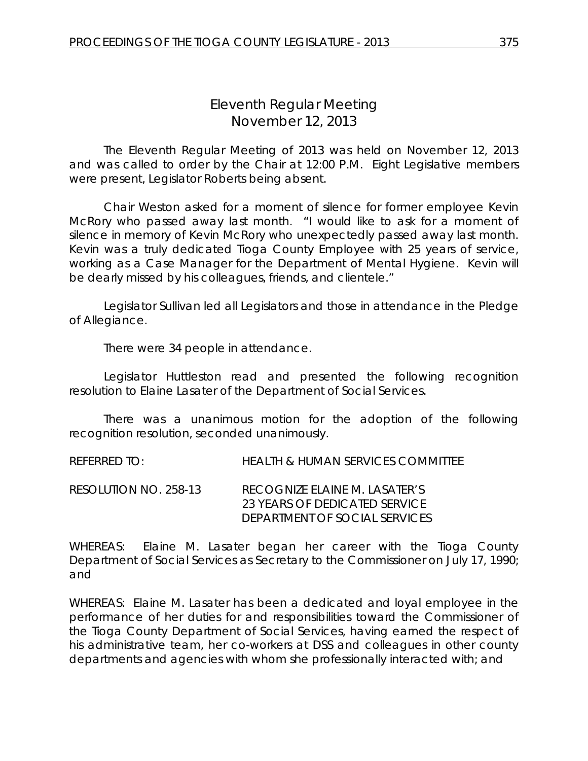# *Eleventh Regular Meeting* November 12, 2013

The Eleventh Regular Meeting of 2013 was held on November 12, 2013 and was called to order by the Chair at 12:00 P.M. Eight Legislative members were present, Legislator Roberts being absent.

Chair Weston asked for a moment of silence for former employee Kevin McRory who passed away last month. "I would like to ask for a moment of silence in memory of Kevin McRory who unexpectedly passed away last month. Kevin was a truly dedicated Tioga County Employee with 25 years of service, working as a Case Manager for the Department of Mental Hygiene. Kevin will be dearly missed by his colleagues, friends, and clientele."

Legislator Sullivan led all Legislators and those in attendance in the Pledge of Allegiance.

There were 34 people in attendance.

Legislator Huttleston read and presented the following recognition resolution to Elaine Lasater of the Department of Social Services.

There was a unanimous motion for the adoption of the following recognition resolution, seconded unanimously.

REFERRED TO: HEALTH & HUMAN SERVICES COMMITTEE

RESOLUTION NO. 258-13 *RECOGNIZE ELAINE M. LASATER'S 23 YEARS OF DEDICATED SERVICE DEPARTMENT OF SOCIAL SERVICES*

WHEREAS: Elaine M. Lasater began her career with the Tioga County Department of Social Services as Secretary to the Commissioner on July 17, 1990; and

WHEREAS: Elaine M. Lasater has been a dedicated and loyal employee in the performance of her duties for and responsibilities toward the Commissioner of the Tioga County Department of Social Services, having earned the respect of his administrative team, her co-workers at DSS and colleagues in other county departments and agencies with whom she professionally interacted with; and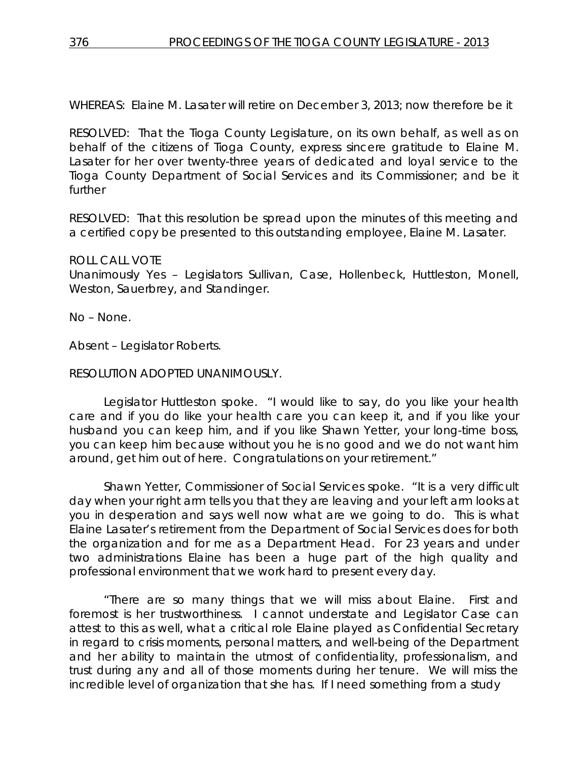WHEREAS: Elaine M. Lasater will retire on December 3, 2013; now therefore be it

RESOLVED:That the Tioga County Legislature, on its own behalf, as well as on behalf of the citizens of Tioga County, express sincere gratitude to Elaine M. Lasater for her over twenty-three years of dedicated and loyal service to the Tioga County Department of Social Services and its Commissioner; and be it further

RESOLVED: That this resolution be spread upon the minutes of this meeting and a certified copy be presented to this outstanding employee, Elaine M. Lasater.

### ROLL CALL VOTE

Unanimously Yes – Legislators Sullivan, Case, Hollenbeck, Huttleston, Monell, Weston, Sauerbrey, and Standinger.

No – None.

Absent – Legislator Roberts.

# RESOLUTION ADOPTED UNANIMOUSLY.

Legislator Huttleston spoke. "I would like to say, do you like your health care and if you do like your health care you can keep it, and if you like your husband you can keep him, and if you like Shawn Yetter, your long-time boss, you can keep him because without you he is no good and we do not want him around, get him out of here. Congratulations on your retirement."

Shawn Yetter, Commissioner of Social Services spoke. "It is a very difficult day when your right arm tells you that they are leaving and your left arm looks at you in desperation and says well now what are we going to do. This is what Elaine Lasater's retirement from the Department of Social Services does for both the organization and for me as a Department Head. For 23 years and under two administrations Elaine has been a huge part of the high quality and professional environment that we work hard to present every day.

"There are so many things that we will miss about Elaine. First and foremost is her trustworthiness. I cannot understate and Legislator Case can attest to this as well, what a critical role Elaine played as Confidential Secretary in regard to crisis moments, personal matters, and well-being of the Department and her ability to maintain the utmost of confidentiality, professionalism, and trust during any and all of those moments during her tenure. We will miss the incredible level of organization that she has. If I need something from a study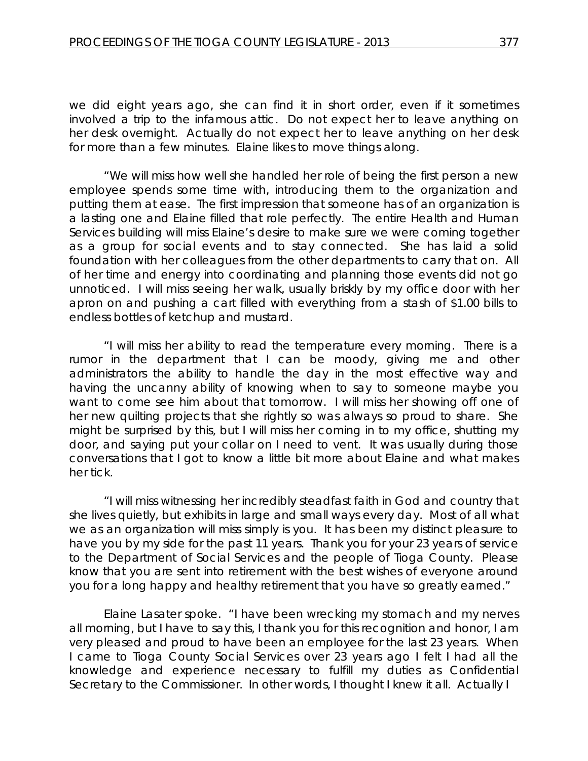we did eight years ago, she can find it in short order, even if it sometimes involved a trip to the infamous attic. Do not expect her to leave anything on her desk overnight. Actually do not expect her to leave anything on her desk for more than a few minutes. Elaine likes to move things along.

"We will miss how well she handled her role of being the first person a new employee spends some time with, introducing them to the organization and putting them at ease. The first impression that someone has of an organization is a lasting one and Elaine filled that role perfectly. The entire Health and Human Services building will miss Elaine's desire to make sure we were coming together as a group for social events and to stay connected. She has laid a solid foundation with her colleagues from the other departments to carry that on. All of her time and energy into coordinating and planning those events did not go unnoticed. I will miss seeing her walk, usually briskly by my office door with her apron on and pushing a cart filled with everything from a stash of \$1.00 bills to endless bottles of ketchup and mustard.

"I will miss her ability to read the temperature every morning. There is a rumor in the department that I can be moody, giving me and other administrators the ability to handle the day in the most effective way and having the uncanny ability of knowing when to say to someone maybe you want to come see him about that tomorrow. I will miss her showing off one of her new quilting projects that she rightly so was always so proud to share. She might be surprised by this, but I will miss her coming in to my office, shutting my door, and saying put your collar on I need to vent. It was usually during those conversations that I got to know a little bit more about Elaine and what makes her tick.

"I will miss witnessing her incredibly steadfast faith in God and country that she lives quietly, but exhibits in large and small ways every day. Most of all what we as an organization will miss simply is you. It has been my distinct pleasure to have you by my side for the past 11 years. Thank you for your 23 years of service to the Department of Social Services and the people of Tioga County. Please know that you are sent into retirement with the best wishes of everyone around you for a long happy and healthy retirement that you have so greatly earned."

Elaine Lasater spoke. "I have been wrecking my stomach and my nerves all morning, but I have to say this, I thank you for this recognition and honor, I am very pleased and proud to have been an employee for the last 23 years. When I came to Tioga County Social Services over 23 years ago I felt I had all the knowledge and experience necessary to fulfill my duties as Confidential Secretary to the Commissioner. In other words, I thought I knew it all. Actually I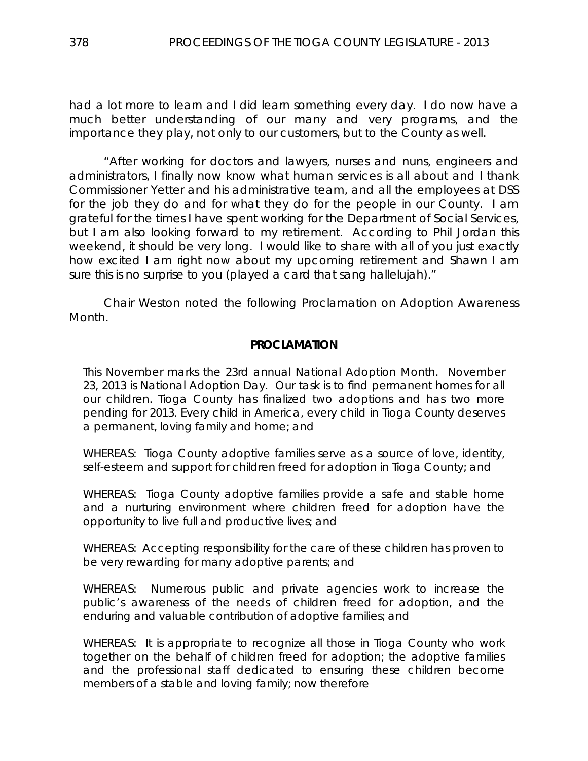had a lot more to learn and I did learn something every day. I do now have a much better understanding of our many and very programs, and the importance they play, not only to our customers, but to the County as well.

"After working for doctors and lawyers, nurses and nuns, engineers and administrators, I finally now know what human services is all about and I thank Commissioner Yetter and his administrative team, and all the employees at DSS for the job they do and for what they do for the people in our County. I am grateful for the times I have spent working for the Department of Social Services, but I am also looking forward to my retirement. According to Phil Jordan this weekend, it should be very long. I would like to share with all of you just exactly how excited I am right now about my upcoming retirement and Shawn I am sure this is no surprise to you (played a card that sang hallelujah)."

Chair Weston noted the following Proclamation on Adoption Awareness Month.

### **PROCLAMATION**

This November marks the 23rd annual National Adoption Month. November 23, 2013 is National Adoption Day. Our task is to find permanent homes for all our children. Tioga County has finalized two adoptions and has two more pending for 2013. Every child in America, every child in Tioga County deserves a permanent, loving family and home; and

WHEREAS: Tioga County adoptive families serve as a source of love, identity, self-esteem and support for children freed for adoption in Tioga County; and

WHEREAS: Tioga County adoptive families provide a safe and stable home and a nurturing environment where children freed for adoption have the opportunity to live full and productive lives; and

WHEREAS: Accepting responsibility for the care of these children has proven to be very rewarding for many adoptive parents; and

WHEREAS: Numerous public and private agencies work to increase the public's awareness of the needs of children freed for adoption, and the enduring and valuable contribution of adoptive families; and

WHEREAS: It is appropriate to recognize all those in Tioga County who work together on the behalf of children freed for adoption; the adoptive families and the professional staff dedicated to ensuring these children become members of a stable and loving family; now therefore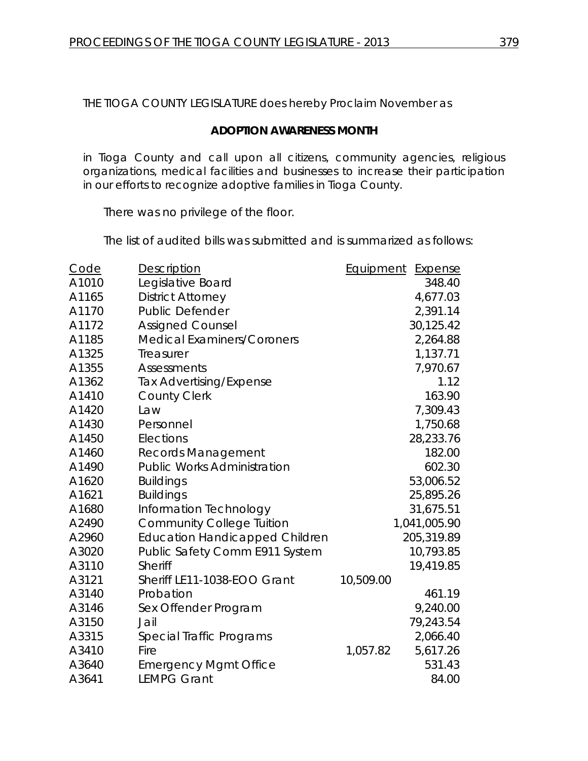THE TIOGA COUNTY LEGISLATURE does hereby Proclaim November as

### **ADOPTION AWARENESS MONTH**

in Tioga County and call upon all citizens, community agencies, religious organizations, medical facilities and businesses to increase their participation in our efforts to recognize adoptive families in Tioga County.

There was no privilege of the floor.

The list of audited bills was submitted and is summarized as follows:

| Code  | Description                           | Equipment | Expense      |
|-------|---------------------------------------|-----------|--------------|
| A1010 | Legislative Board                     |           | 348.40       |
| A1165 | <b>District Attorney</b>              |           | 4,677.03     |
| A1170 | <b>Public Defender</b>                |           | 2,391.14     |
| A1172 | <b>Assigned Counsel</b>               |           | 30,125.42    |
| A1185 | <b>Medical Examiners/Coroners</b>     |           | 2,264.88     |
| A1325 | Treasurer                             |           | 1,137.71     |
| A1355 | <b>Assessments</b>                    |           | 7,970.67     |
| A1362 | <b>Tax Advertising/Expense</b>        |           | 1.12         |
| A1410 | <b>County Clerk</b>                   |           | 163.90       |
| A1420 | Law                                   |           | 7,309.43     |
| A1430 | Personnel                             |           | 1,750.68     |
| A1450 | Elections                             |           | 28,233.76    |
| A1460 | <b>Records Management</b>             |           | 182.00       |
| A1490 | <b>Public Works Administration</b>    |           | 602.30       |
| A1620 | <b>Buildings</b>                      |           | 53,006.52    |
| A1621 | <b>Buildings</b>                      |           | 25,895.26    |
| A1680 | Information Technology                |           | 31,675.51    |
| A2490 | <b>Community College Tuition</b>      |           | 1,041,005.90 |
| A2960 | <b>Education Handicapped Children</b> |           | 205,319.89   |
| A3020 | Public Safety Comm E911 System        |           | 10,793.85    |
| A3110 | <b>Sheriff</b>                        |           | 19,419.85    |
| A3121 | Sheriff LE11-1038-EOO Grant           | 10,509.00 |              |
| A3140 | Probation                             |           | 461.19       |
| A3146 | Sex Offender Program                  |           | 9,240.00     |
| A3150 | Jail                                  |           | 79,243.54    |
| A3315 | Special Traffic Programs              |           | 2,066.40     |
| A3410 | Fire                                  | 1,057.82  | 5,617.26     |
| A3640 | <b>Emergency Mgmt Office</b>          |           | 531.43       |
| A3641 | <b>LEMPG Grant</b>                    |           | 84.00        |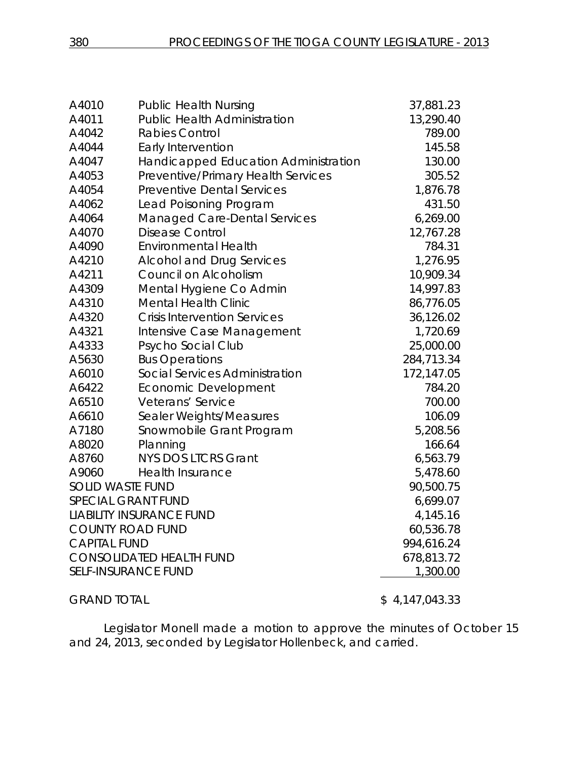| A4010                   | <b>Public Health Nursing</b>         | 37,881.23      |
|-------------------------|--------------------------------------|----------------|
| A4011                   | <b>Public Health Administration</b>  | 13,290.40      |
| A4042                   | <b>Rabies Control</b>                | 789.00         |
| A4044                   | <b>Early Intervention</b>            | 145.58         |
| A4047                   | Handicapped Education Administration | 130.00         |
| A4053                   | Preventive/Primary Health Services   | 305.52         |
| A4054                   | <b>Preventive Dental Services</b>    | 1,876.78       |
| A4062                   | Lead Poisoning Program               | 431.50         |
| A4064                   | <b>Managed Care-Dental Services</b>  | 6,269.00       |
| A4070                   | <b>Disease Control</b>               | 12,767.28      |
| A4090                   | <b>Environmental Health</b>          | 784.31         |
| A4210                   | <b>Alcohol and Drug Services</b>     | 1,276.95       |
| A4211                   | Council on Alcoholism                | 10,909.34      |
| A4309                   | Mental Hygiene Co Admin              | 14,997.83      |
| A4310                   | <b>Mental Health Clinic</b>          | 86,776.05      |
| A4320                   | <b>Crisis Intervention Services</b>  | 36,126.02      |
| A4321                   | Intensive Case Management            | 1,720.69       |
| A4333                   | Psycho Social Club                   | 25,000.00      |
| A5630                   | <b>Bus Operations</b>                | 284,713.34     |
| A6010                   | Social Services Administration       | 172,147.05     |
| A6422                   | Economic Development                 | 784.20         |
| A6510                   | Veterans' Service                    | 700.00         |
| A6610                   | Sealer Weights/Measures              | 106.09         |
| A7180                   | Snowmobile Grant Program             | 5,208.56       |
| A8020                   | Planning                             | 166.64         |
| A8760                   | <b>NYS DOS LTCRS Grant</b>           | 6,563.79       |
| A9060                   | <b>Health Insurance</b>              | 5,478.60       |
| <b>SOLID WASTE FUND</b> |                                      | 90,500.75      |
|                         | <b>SPECIAL GRANT FUND</b>            | 6,699.07       |
|                         | <b>LIABILITY INSURANCE FUND</b>      | 4,145.16       |
|                         | <b>COUNTY ROAD FUND</b>              | 60,536.78      |
| <b>CAPITAL FUND</b>     |                                      | 994,616.24     |
|                         | <b>CONSOLIDATED HEALTH FUND</b>      | 678,813.72     |
|                         | <b>SELF-INSURANCE FUND</b>           | 1,300.00       |
| <b>GRAND TOTAL</b>      |                                      | \$4,147,043.33 |

Legislator Monell made a motion to approve the minutes of October 15 and 24, 2013, seconded by Legislator Hollenbeck, and carried.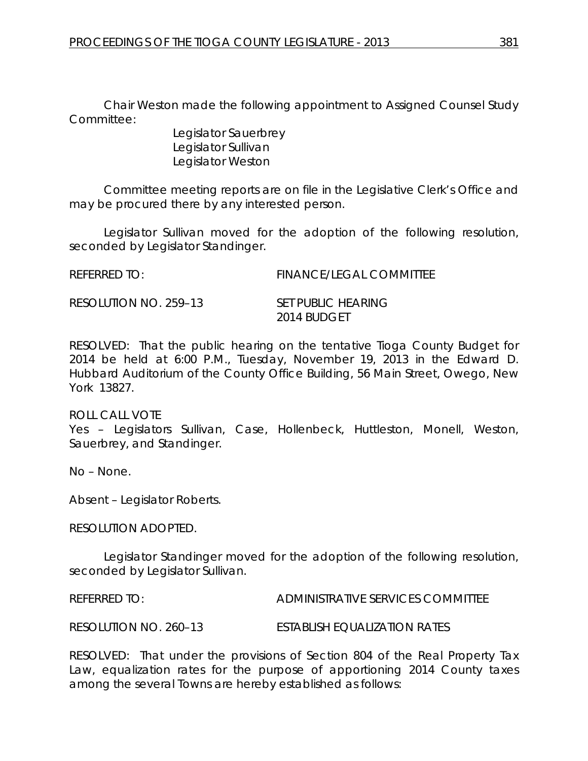Chair Weston made the following appointment to Assigned Counsel Study Committee:

> Legislator Sauerbrey Legislator Sullivan Legislator Weston

Committee meeting reports are on file in the Legislative Clerk's Office and may be procured there by any interested person.

Legislator Sullivan moved for the adoption of the following resolution, seconded by Legislator Standinger.

REFERRED TO: FINANCE/LEGAL COMMITTEE

RESOLUTION NO. 259–13 *SET PUBLIC HEARING*

*2014 BUDGET*

RESOLVED: That the public hearing on the tentative Tioga County Budget for 2014 be held at 6:00 P.M., Tuesday, November 19, 2013 in the Edward D. Hubbard Auditorium of the County Office Building, 56 Main Street, Owego, New York 13827.

ROLL CALL VOTE Yes – Legislators Sullivan, Case, Hollenbeck, Huttleston, Monell, Weston, Sauerbrey, and Standinger.

No – None.

Absent – Legislator Roberts.

RESOLUTION ADOPTED.

Legislator Standinger moved for the adoption of the following resolution, seconded by Legislator Sullivan.

REFERRED TO: ADMINISTRATIVE SERVICES COMMITTEE

RESOLUTION NO. 260–13 *ESTABLISH EQUALIZATION RATES*

RESOLVED: That under the provisions of Section 804 of the Real Property Tax Law, equalization rates for the purpose of apportioning 2014 County taxes among the several Towns are hereby established as follows: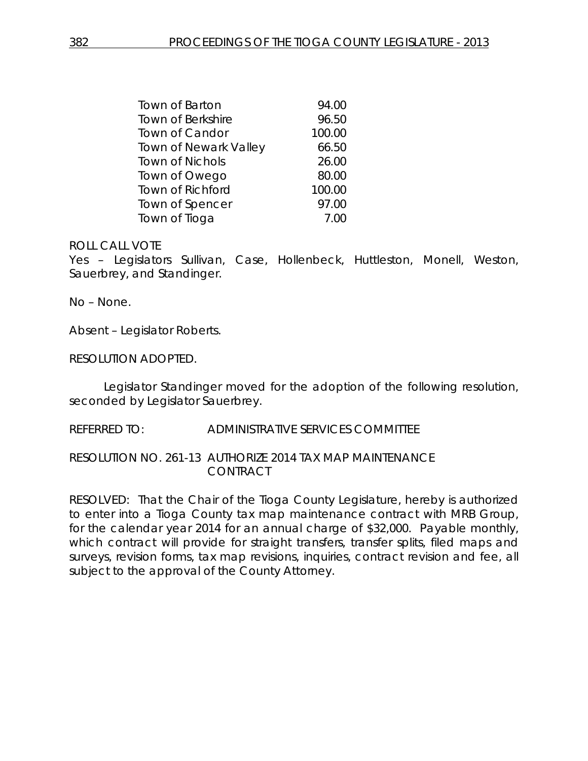| Town of Barton          | 94.00  |
|-------------------------|--------|
| Town of Berkshire       | 96.50  |
| <b>Town of Candor</b>   | 100.00 |
| Town of Newark Valley   | 66.50  |
| <b>Town of Nichols</b>  | 26.00  |
| Town of Owego           | 80.00  |
| <b>Town of Richford</b> | 100.00 |
| Town of Spencer         | 97.00  |
| Town of Tioga           | 7.00   |

Yes – Legislators Sullivan, Case, Hollenbeck, Huttleston, Monell, Weston, Sauerbrey, and Standinger.

No – None.

Absent – Legislator Roberts.

RESOLUTION ADOPTED.

Legislator Standinger moved for the adoption of the following resolution, seconded by Legislator Sauerbrey.

REFERRED TO: ADMINISTRATIVE SERVICES COMMITTEE

RESOLUTION NO. 261-13 *AUTHORIZE 2014 TAX MAP MAINTENANCE CONTRACT*

RESOLVED: That the Chair of the Tioga County Legislature, hereby is authorized to enter into a Tioga County tax map maintenance contract with MRB Group, for the calendar year 2014 for an annual charge of \$32,000. Payable monthly, which contract will provide for straight transfers, transfer splits, filed maps and surveys, revision forms, tax map revisions, inquiries, contract revision and fee, all subject to the approval of the County Attorney.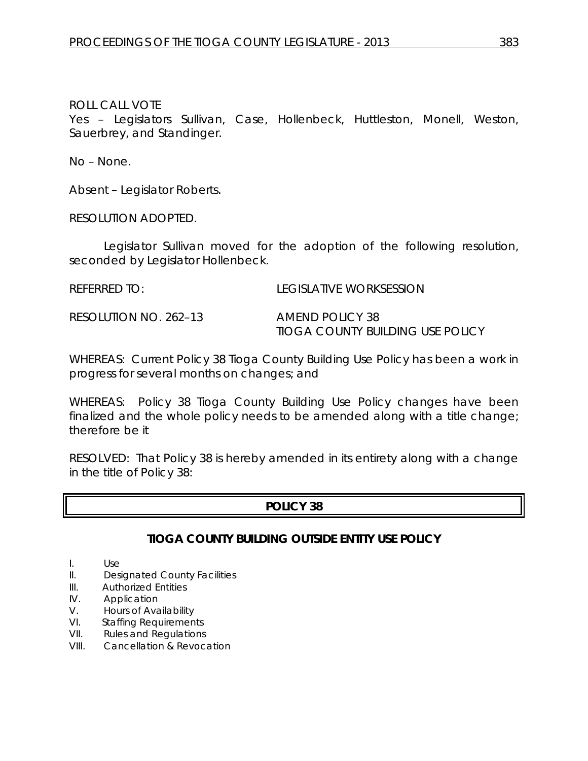Yes – Legislators Sullivan, Case, Hollenbeck, Huttleston, Monell, Weston, Sauerbrey, and Standinger.

No – None.

Absent – Legislator Roberts.

RESOLUTION ADOPTED.

Legislator Sullivan moved for the adoption of the following resolution, seconded by Legislator Hollenbeck.

REFERRED TO: LEGISLATIVE WORKSESSION

RESOLUTION NO. 262–13 *AMEND POLICY 38* 

*TIOGA COUNTY BUILDING USE POLICY*

WHEREAS: Current Policy 38 Tioga County Building Use Policy has been a work in progress for several months on changes; and

WHEREAS: Policy 38 Tioga County Building Use Policy changes have been finalized and the whole policy needs to be amended along with a title change; therefore be it

RESOLVED: That Policy 38 is hereby amended in its entirety along with a change in the title of Policy 38:

# **POLICY 38**

# **TIOGA COUNTY BUILDING OUTSIDE ENTITY USE POLICY**

I. Use

- II. Designated County Facilities
- III. Authorized Entities
- IV. Application
- V. Hours of Availability
- VI. Staffing Requirements
- VII. Rules and Regulations
- VIII. Cancellation & Revocation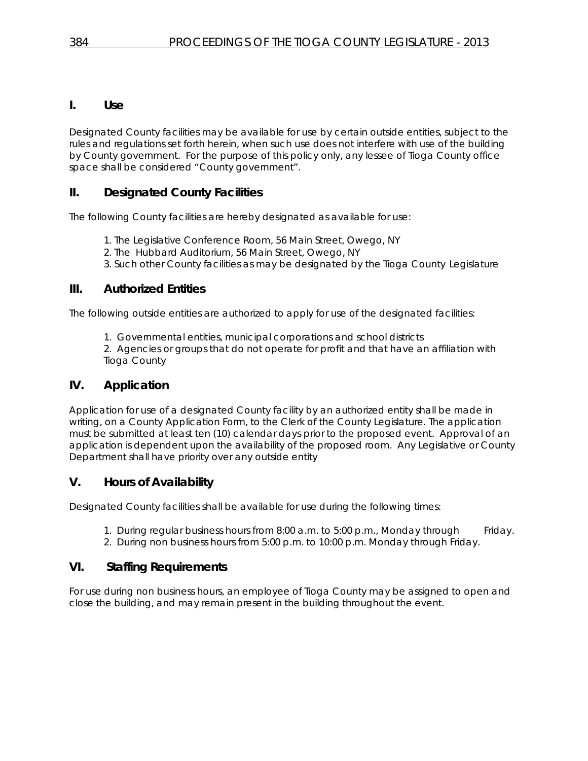### **I. Use**

Designated County facilities may be available for use by certain outside entities, subject to the rules and regulations set forth herein, when such use does not interfere with use of the building by County government. For the purpose of this policy only, any lessee of Tioga County office space shall be considered "County government".

# **II. Designated County Facilities**

The following County facilities are hereby designated as available for use:

- 1. The Legislative Conference Room, 56 Main Street, Owego, NY
- 2. The Hubbard Auditorium, 56 Main Street, Owego, NY
- 3. Such other County facilities as may be designated by the Tioga County Legislature

# **III. Authorized Entities**

The following outside entities are authorized to apply for use of the designated facilities:

1. Governmental entities, municipal corporations and school districts

2. Agencies or groups that do not operate for profit and that have an affiliation with Tioga County

# **IV. Application**

Application for use of a designated County facility by an authorized entity shall be made in writing, on a County Application Form, to the Clerk of the County Legislature. The application must be submitted at least ten (10) calendar days prior to the proposed event. Approval of an application is dependent upon the availability of the proposed room. Any Legislative or County Department shall have priority over any outside entity

# **V. Hours of Availability**

Designated County facilities shall be available for use during the following times:

- 1. During regular business hours from 8:00 a.m. to 5:00 p.m., Monday through Friday.
- 2. During non business hours from 5:00 p.m. to 10:00 p.m. Monday through Friday.

# **VI. Staffing Requirements**

For use during non business hours, an employee of Tioga County may be assigned to open and close the building, and may remain present in the building throughout the event.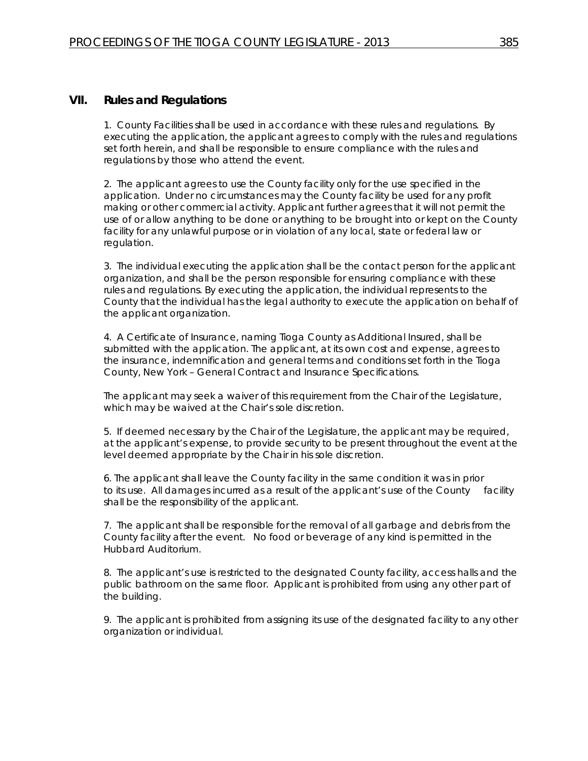#### **VII. Rules and Regulations**

1. County Facilities shall be used in accordance with these rules and regulations. By executing the application, the applicant agrees to comply with the rules and regulations set forth herein, and shall be responsible to ensure compliance with the rules and regulations by those who attend the event.

2. The applicant agrees to use the County facility only for the use specified in the application. Under no circumstances may the County facility be used for any profit making or other commercial activity. Applicant further agrees that it will not permit the use of or allow anything to be done or anything to be brought into or kept on the County facility for any unlawful purpose or in violation of any local, state or federal law or regulation.

3. The individual executing the application shall be the contact person for the applicant organization, and shall be the person responsible for ensuring compliance with these rules and regulations. By executing the application, the individual represents to the County that the individual has the legal authority to execute the application on behalf of the applicant organization.

4. A Certificate of Insurance, naming Tioga County as Additional Insured, shall be submitted with the application. The applicant, at its own cost and expense, agrees to the insurance, indemnification and general terms and conditions set forth in the Tioga County, New York – General Contract and Insurance Specifications.

The applicant may seek a waiver of this requirement from the Chair of the Legislature, which may be waived at the Chair's sole discretion.

5. If deemed necessary by the Chair of the Legislature, the applicant may be required, at the applicant's expense, to provide security to be present throughout the event at the level deemed appropriate by the Chair in his sole discretion.

6. The applicant shall leave the County facility in the same condition it was in prior to its use. All damages incurred as a result of the applicant's use of the County facility shall be the responsibility of the applicant.

7. The applicant shall be responsible for the removal of all garbage and debris from the County facility after the event. No food or beverage of any kind is permitted in the Hubbard Auditorium.

8. The applicant's use is restricted to the designated County facility, access halls and the public bathroom on the same floor. Applicant is prohibited from using any other part of the building.

9. The applicant is prohibited from assigning its use of the designated facility to any other organization or individual.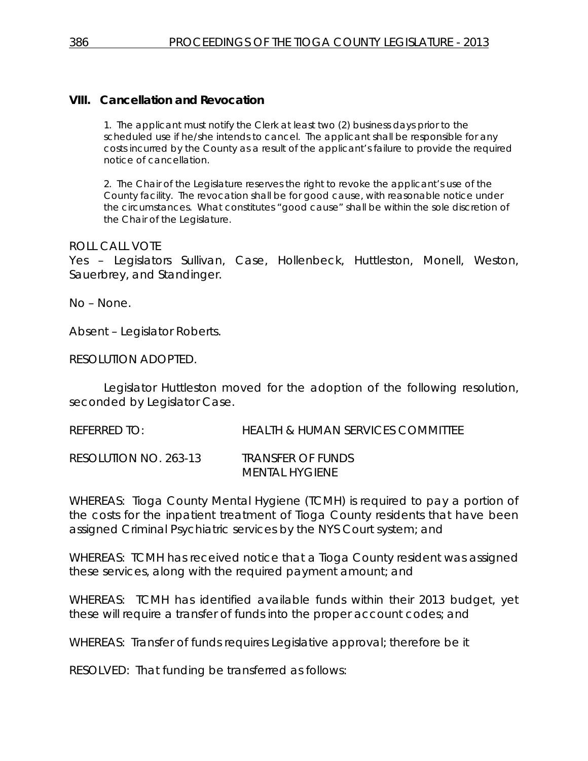# **VIII. Cancellation and Revocation**

1. The applicant must notify the Clerk at least two (2) business days prior to the scheduled use if he/she intends to cancel. The applicant shall be responsible for any costs incurred by the County as a result of the applicant's failure to provide the required notice of cancellation.

2. The Chair of the Legislature reserves the right to revoke the applicant's use of the County facility. The revocation shall be for good cause, with reasonable notice under the circumstances. What constitutes "good cause" shall be within the sole discretion of the Chair of the Legislature.

#### ROLL CALL VOTE

Yes – Legislators Sullivan, Case, Hollenbeck, Huttleston, Monell, Weston, Sauerbrey, and Standinger.

No – None.

Absent – Legislator Roberts.

RESOLUTION ADOPTED.

Legislator Huttleston moved for the adoption of the following resolution, seconded by Legislator Case.

REFERRED TO: HEALTH & HUMAN SERVICES COMMITTEE

RESOLUTION NO. 263-13 *TRANSFER OF FUNDS MENTAL HYGIENE*

WHEREAS: Tioga County Mental Hygiene (TCMH) is required to pay a portion of the costs for the inpatient treatment of Tioga County residents that have been assigned Criminal Psychiatric services by the NYS Court system; and

WHEREAS: TCMH has received notice that a Tioga County resident was assigned these services, along with the required payment amount; and

WHEREAS: TCMH has identified available funds within their 2013 budget, yet these will require a transfer of funds into the proper account codes; and

WHEREAS: Transfer of funds requires Legislative approval; therefore be it

RESOLVED: That funding be transferred as follows: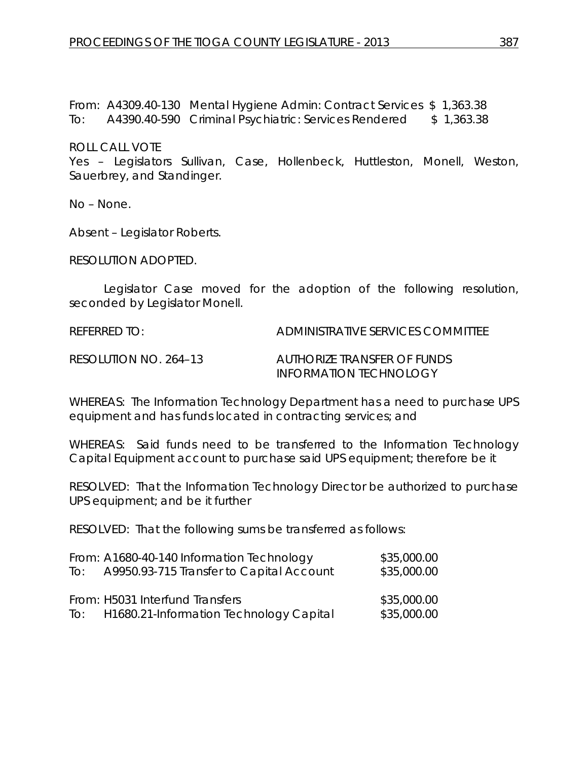From: A4309.40-130 Mental Hygiene Admin: Contract Services \$ 1,363.38 To: A4390.40-590 Criminal Psychiatric: Services Rendered \$ 1,363.38

ROLL CALL VOTE

Yes – Legislators Sullivan, Case, Hollenbeck, Huttleston, Monell, Weston, Sauerbrey, and Standinger.

No – None.

Absent – Legislator Roberts.

RESOLUTION ADOPTED.

Legislator Case moved for the adoption of the following resolution, seconded by Legislator Monell.

REFERRED TO: ADMINISTRATIVE SERVICES COMMITTEE

RESOLUTION NO. 264–13 *AUTHORIZE TRANSFER OF FUNDS INFORMATION TECHNOLOGY*

WHEREAS: The Information Technology Department has a need to purchase UPS equipment and has funds located in contracting services; and

WHEREAS: Said funds need to be transferred to the Information Technology Capital Equipment account to purchase said UPS equipment; therefore be it

RESOLVED: That the Information Technology Director be authorized to purchase UPS equipment; and be it further

RESOLVED: That the following sums be transferred as follows:

|     | From: A1680-40-140 Information Technology   | \$35,000.00 |
|-----|---------------------------------------------|-------------|
| To: | A9950.93-715 Transfer to Capital Account    | \$35,000.00 |
|     |                                             |             |
|     | From: H5031 Interfund Transfers             | \$35,000.00 |
|     | To: H1680.21-Information Technology Capital | \$35,000.00 |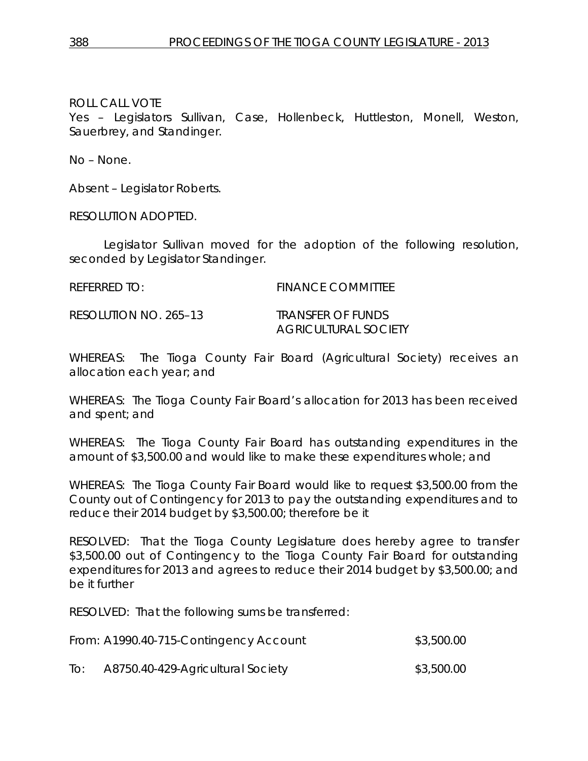ROLL CALL VOTE Yes – Legislators Sullivan, Case, Hollenbeck, Huttleston, Monell, Weston, Sauerbrey, and Standinger.

No – None.

Absent – Legislator Roberts.

RESOLUTION ADOPTED.

Legislator Sullivan moved for the adoption of the following resolution, seconded by Legislator Standinger.

REFERRED TO: FINANCE COMMITTEE

RESOLUTION NO. 265–13 *TRANSFER OF FUNDS*

*AGRICULTURAL SOCIETY*

WHEREAS: The Tioga County Fair Board (Agricultural Society) receives an allocation each year; and

WHEREAS: The Tioga County Fair Board's allocation for 2013 has been received and spent; and

WHEREAS: The Tioga County Fair Board has outstanding expenditures in the amount of \$3,500.00 and would like to make these expenditures whole; and

WHEREAS: The Tioga County Fair Board would like to request \$3,500.00 from the County out of Contingency for 2013 to pay the outstanding expenditures and to reduce their 2014 budget by \$3,500.00; therefore be it

RESOLVED: That the Tioga County Legislature does hereby agree to transfer \$3,500.00 out of Contingency to the Tioga County Fair Board for outstanding expenditures for 2013 and agrees to reduce their 2014 budget by \$3,500.00; and be it further

RESOLVED: That the following sums be transferred:

| From: A1990.40-715-Contingency Account | \$3,500.00 |
|----------------------------------------|------------|
|----------------------------------------|------------|

To: A8750.40-429-Agricultural Society \$3,500.00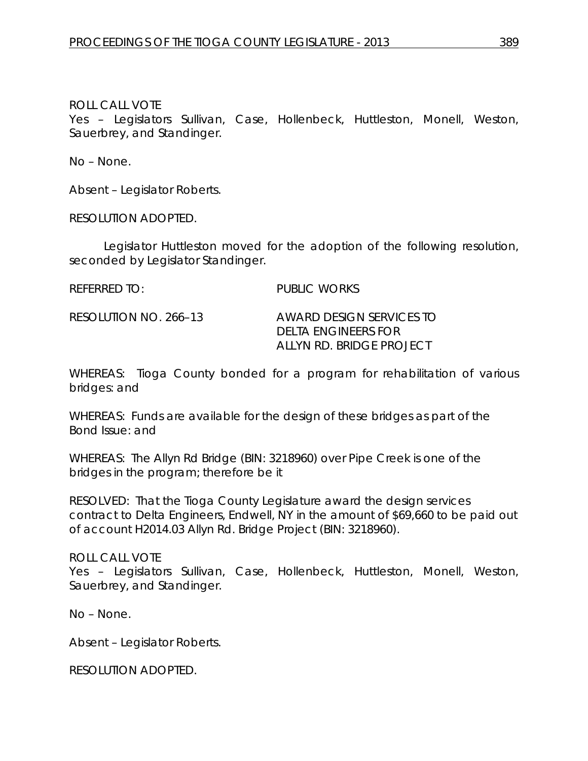Yes – Legislators Sullivan, Case, Hollenbeck, Huttleston, Monell, Weston, Sauerbrey, and Standinger.

No – None.

Absent – Legislator Roberts.

RESOLUTION ADOPTED.

Legislator Huttleston moved for the adoption of the following resolution, seconded by Legislator Standinger.

REFERRED TO: PUBLIC WORKS

RESOLUTION NO. 266–13 *AWARD DESIGN SERVICES TO DELTA ENGINEERS FOR ALLYN RD. BRIDGE PROJECT*

WHEREAS: Tioga County bonded for a program for rehabilitation of various bridges: and

WHEREAS: Funds are available for the design of these bridges as part of the Bond Issue: and

WHEREAS: The Allyn Rd Bridge (BIN: 3218960) over Pipe Creek is one of the bridges in the program; therefore be it

RESOLVED: That the Tioga County Legislature award the design services contract to Delta Engineers, Endwell, NY in the amount of \$69,660 to be paid out of account H2014.03 Allyn Rd. Bridge Project (BIN: 3218960).

ROLL CALL VOTE Yes – Legislators Sullivan, Case, Hollenbeck, Huttleston, Monell, Weston, Sauerbrey, and Standinger.

No – None.

Absent – Legislator Roberts.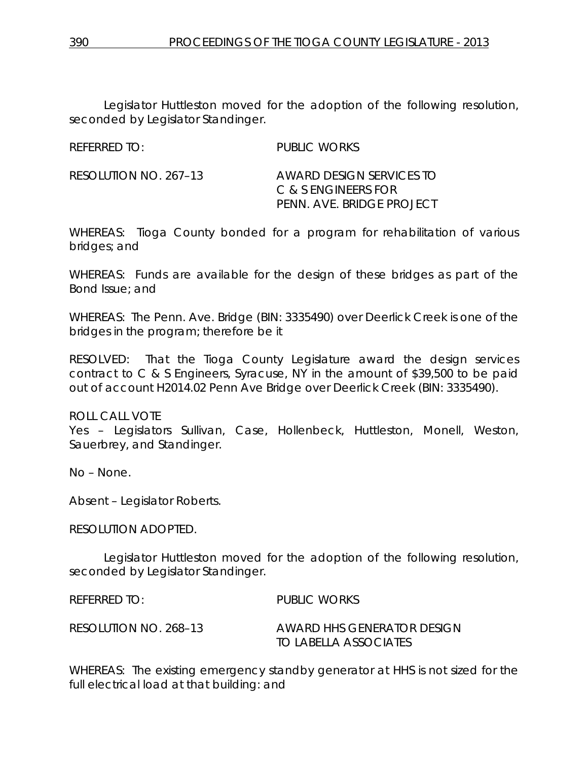Legislator Huttleston moved for the adoption of the following resolution, seconded by Legislator Standinger.

| <b>REFERRED TO:</b> | <b>PUBLIC WORKS</b> |
|---------------------|---------------------|
|                     |                     |

| RESOLUTION NO. 267–13 | AWARD DESIGN SERVICES TO  |
|-----------------------|---------------------------|
|                       | C & S ENGINEERS FOR       |
|                       | PENN. AVE. BRIDGE PROJECT |

WHEREAS: Tioga County bonded for a program for rehabilitation of various bridges; and

WHEREAS: Funds are available for the design of these bridges as part of the Bond Issue; and

WHEREAS: The Penn. Ave. Bridge (BIN: 3335490) over Deerlick Creek is one of the bridges in the program; therefore be it

RESOLVED: That the Tioga County Legislature award the design services contract to C & S Engineers, Syracuse, NY in the amount of \$39,500 to be paid out of account H2014.02 Penn Ave Bridge over Deerlick Creek (BIN: 3335490).

ROLL CALL VOTE

Yes – Legislators Sullivan, Case, Hollenbeck, Huttleston, Monell, Weston, Sauerbrey, and Standinger.

No – None.

Absent – Legislator Roberts.

RESOLUTION ADOPTED.

Legislator Huttleston moved for the adoption of the following resolution, seconded by Legislator Standinger.

REFERRED TO: PUBLIC WORKS

RESOLUTION NO. 268–13 *AWARD HHS GENERATOR DESIGN TO LABELLA ASSOCIATES*

WHEREAS: The existing emergency standby generator at HHS is not sized for the full electrical load at that building: and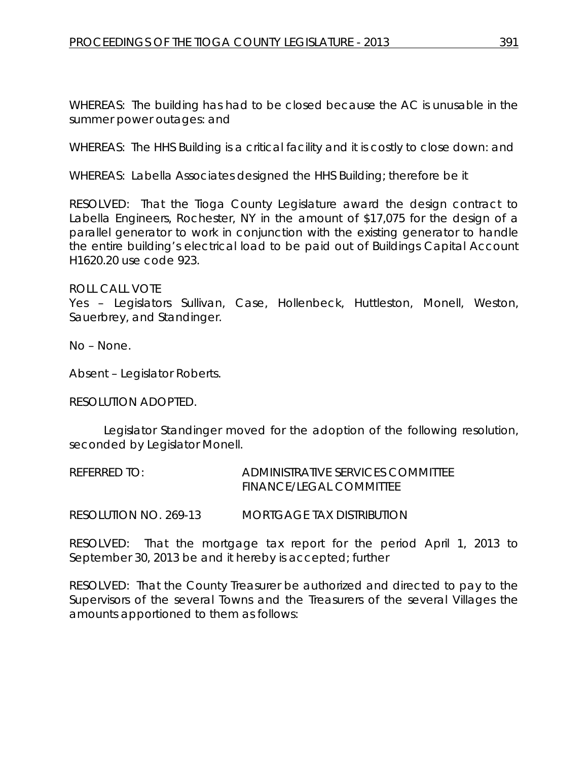WHEREAS: The building has had to be closed because the AC is unusable in the summer power outages: and

WHEREAS: The HHS Building is a critical facility and it is costly to close down: and

WHEREAS: Labella Associates designed the HHS Building; therefore be it

RESOLVED: That the Tioga County Legislature award the design contract to Labella Engineers, Rochester, NY in the amount of \$17,075 for the design of a parallel generator to work in conjunction with the existing generator to handle the entire building's electrical load to be paid out of Buildings Capital Account H1620.20 use code 923.

### ROLL CALL VOTE

Yes – Legislators Sullivan, Case, Hollenbeck, Huttleston, Monell, Weston, Sauerbrey, and Standinger.

No – None.

Absent – Legislator Roberts.

### RESOLUTION ADOPTED.

Legislator Standinger moved for the adoption of the following resolution, seconded by Legislator Monell.

REFERRED TO: ADMINISTRATIVE SERVICES COMMITTEE FINANCE/LEGAL COMMITTEE

RESOLUTION NO. 269-13 *MORTGAGE TAX DISTRIBUTION*

RESOLVED: That the mortgage tax report for the period April 1, 2013 to September 30, 2013 be and it hereby is accepted; further

RESOLVED: That the County Treasurer be authorized and directed to pay to the Supervisors of the several Towns and the Treasurers of the several Villages the amounts apportioned to them as follows: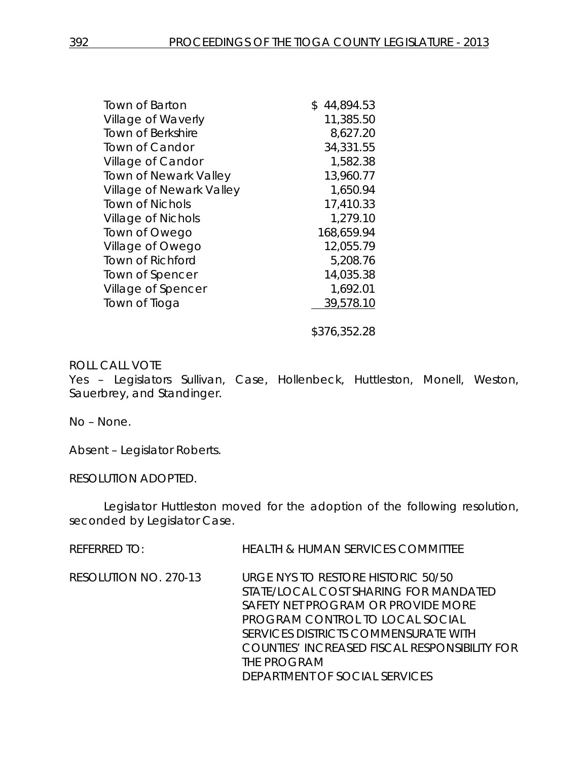| Town of Barton               | 44,894.53<br>\$ |
|------------------------------|-----------------|
| Village of Waverly           | 11,385.50       |
| Town of Berkshire            | 8,627.20        |
| <b>Town of Candor</b>        | 34,331.55       |
| Village of Candor            | 1,582.38        |
| <b>Town of Newark Valley</b> | 13,960.77       |
| Village of Newark Valley     | 1,650.94        |
| <b>Town of Nichols</b>       | 17,410.33       |
| <b>Village of Nichols</b>    | 1,279.10        |
| Town of Owego                | 168,659.94      |
| Village of Owego             | 12,055.79       |
| <b>Town of Richford</b>      | 5,208.76        |
| Town of Spencer              | 14,035.38       |
| Village of Spencer           | 1,692.01        |
| Town of Tioga                | 39,578.10       |
|                              | \$376,352.28    |

Yes – Legislators Sullivan, Case, Hollenbeck, Huttleston, Monell, Weston, Sauerbrey, and Standinger.

No – None.

Absent – Legislator Roberts.

RESOLUTION ADOPTED.

Legislator Huttleston moved for the adoption of the following resolution, seconded by Legislator Case.

| REFERRED TO:          | <b>HEALTH &amp; HUMAN SERVICES COMMITTEE</b>                                                                                                                                                                                                                                                  |
|-----------------------|-----------------------------------------------------------------------------------------------------------------------------------------------------------------------------------------------------------------------------------------------------------------------------------------------|
| RESOLUTION NO. 270-13 | URGE NYS TO RESTORE HISTORIC 50/50<br>STATE/LOCAL COST SHARING FOR MANDATED<br>SAFETY NET PROGRAM OR PROVIDE MORE<br>PROGRAM CONTROL TO LOCAL SOCIAL<br>SERVICES DISTRICTS COMMENSURATE WITH<br>COUNTIES' INCREASED FISCAL RESPONSIBILITY FOR<br>THE PROGRAM<br>DEPARTMENT OF SOCIAL SERVICES |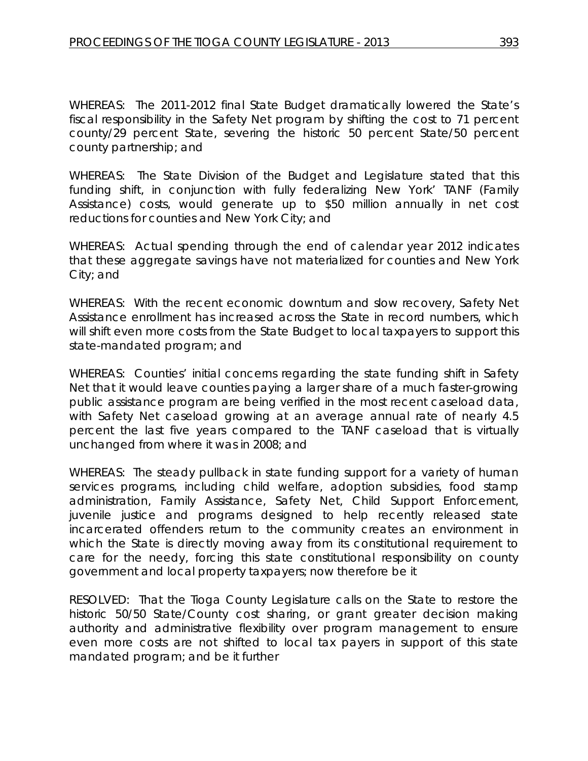WHEREAS: The 2011-2012 final State Budget dramatically lowered the State's fiscal responsibility in the Safety Net program by shifting the cost to 71 percent county/29 percent State, severing the historic 50 percent State/50 percent county partnership; and

WHEREAS: The State Division of the Budget and Legislature stated that this funding shift, in conjunction with fully federalizing New York' TANF (Family Assistance) costs, would generate up to \$50 million annually in net cost reductions for counties and New York City; and

WHEREAS: Actual spending through the end of calendar year 2012 indicates that these aggregate savings have not materialized for counties and New York City; and

WHEREAS: With the recent economic downturn and slow recovery, Safety Net Assistance enrollment has increased across the State in record numbers, which will shift even more costs from the State Budget to local taxpayers to support this state-mandated program; and

WHEREAS: Counties' initial concerns regarding the state funding shift in Safety Net that it would leave counties paying a larger share of a much faster-growing public assistance program are being verified in the most recent caseload data, with Safety Net caseload growing at an average annual rate of nearly 4.5 percent the last five years compared to the TANF caseload that is virtually unchanged from where it was in 2008; and

WHEREAS: The steady pullback in state funding support for a variety of human services programs, including child welfare, adoption subsidies, food stamp administration, Family Assistance, Safety Net, Child Support Enforcement, juvenile justice and programs designed to help recently released state incarcerated offenders return to the community creates an environment in which the State is directly moving away from its constitutional requirement to care for the needy, forcing this state constitutional responsibility on county government and local property taxpayers; now therefore be it

RESOLVED: That the Tioga County Legislature calls on the State to restore the historic 50/50 State/County cost sharing, or grant greater decision making authority and administrative flexibility over program management to ensure even more costs are not shifted to local tax payers in support of this state mandated program; and be it further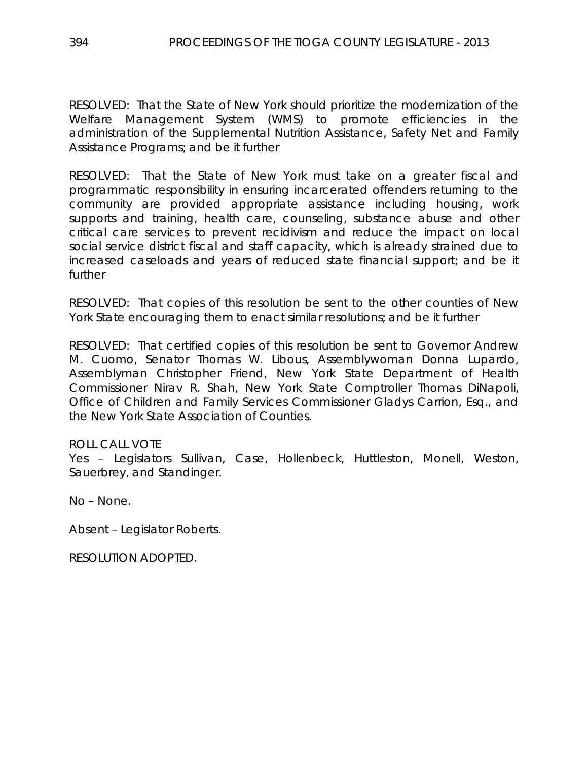RESOLVED: That the State of New York should prioritize the modernization of the Welfare Management System (WMS) to promote efficiencies in the administration of the Supplemental Nutrition Assistance, Safety Net and Family Assistance Programs; and be it further

RESOLVED: That the State of New York must take on a greater fiscal and programmatic responsibility in ensuring incarcerated offenders returning to the community are provided appropriate assistance including housing, work supports and training, health care, counseling, substance abuse and other critical care services to prevent recidivism and reduce the impact on local social service district fiscal and staff capacity, which is already strained due to increased caseloads and years of reduced state financial support; and be it further

RESOLVED: That copies of this resolution be sent to the other counties of New York State encouraging them to enact similar resolutions; and be it further

RESOLVED: That certified copies of this resolution be sent to Governor Andrew M. Cuomo, Senator Thomas W. Libous, Assemblywoman Donna Lupardo, Assemblyman Christopher Friend, New York State Department of Health Commissioner Nirav R. Shah, New York State Comptroller Thomas DiNapoli, Office of Children and Family Services Commissioner Gladys Carrion, Esq., and the New York State Association of Counties.

ROLL CALL VOTE

Yes – Legislators Sullivan, Case, Hollenbeck, Huttleston, Monell, Weston, Sauerbrey, and Standinger.

No – None.

Absent – Legislator Roberts.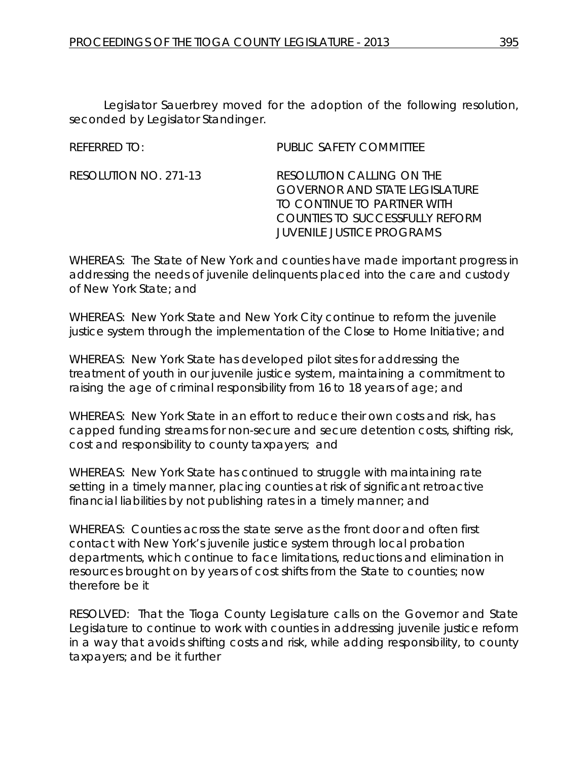Legislator Sauerbrey moved for the adoption of the following resolution, seconded by Legislator Standinger.

REFERRED TO: PUBLIC SAFETY COMMITTEE

RESOLUTION NO. 271-13 *RESOLUTION CALLING ON THE GOVERNOR AND STATE LEGISLATURE TO CONTINUE TO PARTNER WITH COUNTIES TO SUCCESSFULLY REFORM JUVENILE JUSTICE PROGRAMS*

WHEREAS: The State of New York and counties have made important progress in addressing the needs of juvenile delinquents placed into the care and custody of New York State; and

WHEREAS: New York State and New York City continue to reform the juvenile justice system through the implementation of the Close to Home Initiative; and

WHEREAS: New York State has developed pilot sites for addressing the treatment of youth in our juvenile justice system, maintaining a commitment to raising the age of criminal responsibility from 16 to 18 years of age; and

WHEREAS: New York State in an effort to reduce their own costs and risk, has capped funding streams for non-secure and secure detention costs, shifting risk, cost and responsibility to county taxpayers; and

WHEREAS: New York State has continued to struggle with maintaining rate setting in a timely manner, placing counties at risk of significant retroactive financial liabilities by not publishing rates in a timely manner; and

WHEREAS: Counties across the state serve as the front door and often first contact with New York's juvenile justice system through local probation departments, which continue to face limitations, reductions and elimination in resources brought on by years of cost shifts from the State to counties; now therefore be it

RESOLVED: That the Tioga County Legislature calls on the Governor and State Legislature to continue to work with counties in addressing juvenile justice reform in a way that avoids shifting costs and risk, while adding responsibility, to county taxpayers; and be it further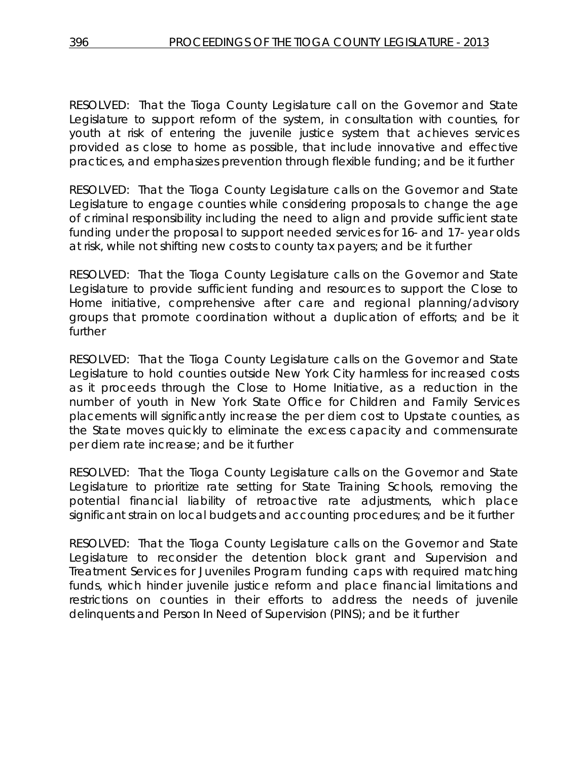RESOLVED: That the Tioga County Legislature call on the Governor and State Legislature to support reform of the system, in consultation with counties, for youth at risk of entering the juvenile justice system that achieves services provided as close to home as possible, that include innovative and effective practices, and emphasizes prevention through flexible funding; and be it further

RESOLVED: That the Tioga County Legislature calls on the Governor and State Legislature to engage counties while considering proposals to change the age of criminal responsibility including the need to align and provide sufficient state funding under the proposal to support needed services for 16- and 17- year olds at risk, while not shifting new costs to county tax payers; and be it further

RESOLVED: That the Tioga County Legislature calls on the Governor and State Legislature to provide sufficient funding and resources to support the Close to Home initiative, comprehensive after care and regional planning/advisory groups that promote coordination without a duplication of efforts; and be it further

RESOLVED: That the Tioga County Legislature calls on the Governor and State Legislature to hold counties outside New York City harmless for increased costs as it proceeds through the Close to Home Initiative, as a reduction in the number of youth in New York State Office for Children and Family Services placements will significantly increase the per diem cost to Upstate counties, as the State moves quickly to eliminate the excess capacity and commensurate per diem rate increase; and be it further

RESOLVED: That the Tioga County Legislature calls on the Governor and State Legislature to prioritize rate setting for State Training Schools, removing the potential financial liability of retroactive rate adjustments, which place significant strain on local budgets and accounting procedures; and be it further

RESOLVED: That the Tioga County Legislature calls on the Governor and State Legislature to reconsider the detention block grant and Supervision and Treatment Services for Juveniles Program funding caps with required matching funds, which hinder juvenile justice reform and place financial limitations and restrictions on counties in their efforts to address the needs of juvenile delinquents and Person In Need of Supervision (PINS); and be it further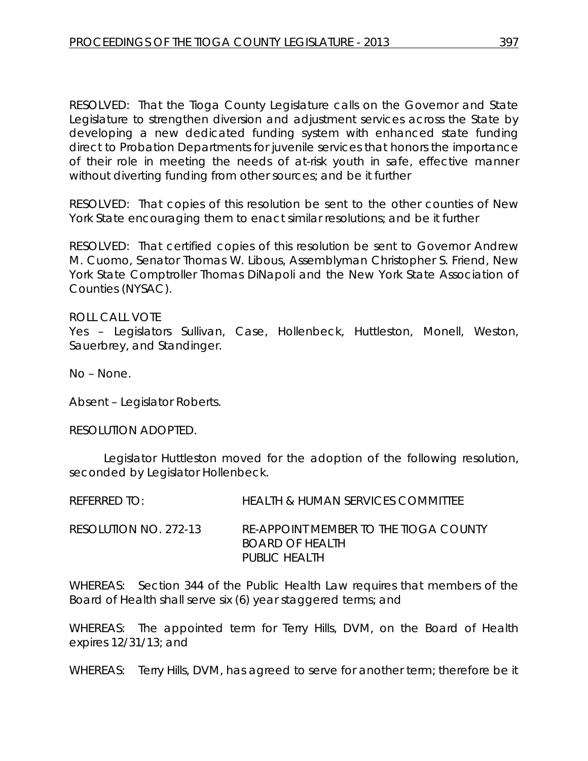RESOLVED: That the Tioga County Legislature calls on the Governor and State Legislature to strengthen diversion and adjustment services across the State by developing a new dedicated funding system with enhanced state funding direct to Probation Departments for juvenile services that honors the importance of their role in meeting the needs of at-risk youth in safe, effective manner without diverting funding from other sources; and be it further

RESOLVED: That copies of this resolution be sent to the other counties of New York State encouraging them to enact similar resolutions; and be it further

RESOLVED: That certified copies of this resolution be sent to Governor Andrew M. Cuomo, Senator Thomas W. Libous, Assemblyman Christopher S. Friend, New York State Comptroller Thomas DiNapoli and the New York State Association of Counties (NYSAC).

ROLL CALL VOTE Yes – Legislators Sullivan, Case, Hollenbeck, Huttleston, Monell, Weston, Sauerbrey, and Standinger.

No – None.

Absent – Legislator Roberts.

RESOLUTION ADOPTED.

Legislator Huttleston moved for the adoption of the following resolution, seconded by Legislator Hollenbeck.

| $R$ FFFRRFD TO:       | <b>HEALTH &amp; HUMAN SERVICES COMMITTEE</b>                                     |
|-----------------------|----------------------------------------------------------------------------------|
| RESOLUTION NO. 272-13 | RE-APPOINT MEMBER TO THE TIOGA COUNTY<br><b>BOARD OF HEALTH</b><br>PUBLIC HEALTH |

WHEREAS: Section 344 of the Public Health Law requires that members of the Board of Health shall serve six (6) year staggered terms; and

WHEREAS: The appointed term for Terry Hills, DVM, on the Board of Health expires 12/31/13; and

WHEREAS: Terry Hills, DVM, has agreed to serve for another term; therefore be it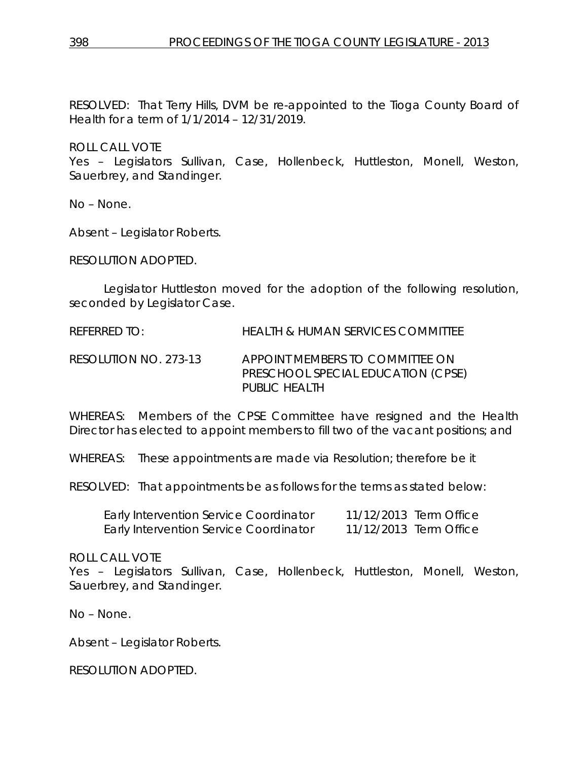RESOLVED: That Terry Hills, DVM be re-appointed to the Tioga County Board of Health for a term of 1/1/2014 – 12/31/2019.

ROLL CALL VOTE Yes – Legislators Sullivan, Case, Hollenbeck, Huttleston, Monell, Weston, Sauerbrey, and Standinger.

No – None.

Absent – Legislator Roberts.

RESOLUTION ADOPTED.

Legislator Huttleston moved for the adoption of the following resolution, seconded by Legislator Case.

REFERRED TO: HEALTH & HUMAN SERVICES COMMITTEE

RESOLUTION NO. 273-13 *APPOINT MEMBERS TO COMMITTEE ON PRESCHOOL SPECIAL EDUCATION (CPSE) PUBLIC HEALTH*

WHEREAS: Members of the CPSE Committee have resigned and the Health Director has elected to appoint members to fill two of the vacant positions; and

WHEREAS: These appointments are made via Resolution; therefore be it

RESOLVED: That appointments be as follows for the terms as stated below:

| <b>Early Intervention Service Coordinator</b> | 11/12/2013 Term Office |
|-----------------------------------------------|------------------------|
| Early Intervention Service Coordinator        | 11/12/2013 Term Office |

### ROLL CALL VOTE

Yes – Legislators Sullivan, Case, Hollenbeck, Huttleston, Monell, Weston, Sauerbrey, and Standinger.

No – None.

Absent – Legislator Roberts.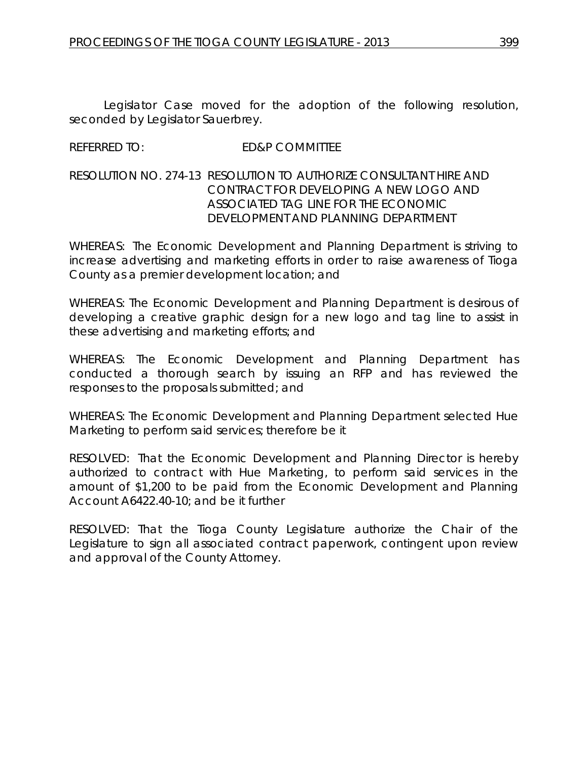Legislator Case moved for the adoption of the following resolution, seconded by Legislator Sauerbrey.

# REFERRED TO: ED&P COMMITTEE

# RESOLUTION NO. 274-13 *RESOLUTION TO AUTHORIZE CONSULTANT HIRE AND CONTRACT FOR DEVELOPING A NEW LOGO AND ASSOCIATED TAG LINE FOR THE ECONOMIC DEVELOPMENT AND PLANNING DEPARTMENT*

WHEREAS: The Economic Development and Planning Department is striving to increase advertising and marketing efforts in order to raise awareness of Tioga County as a premier development location; and

WHEREAS: The Economic Development and Planning Department is desirous of developing a creative graphic design for a new logo and tag line to assist in these advertising and marketing efforts; and

WHEREAS: The Economic Development and Planning Department has conducted a thorough search by issuing an RFP and has reviewed the responses to the proposals submitted; and

WHEREAS: The Economic Development and Planning Department selected Hue Marketing to perform said services; therefore be it

RESOLVED: That the Economic Development and Planning Director is hereby authorized to contract with Hue Marketing, to perform said services in the amount of \$1,200 to be paid from the Economic Development and Planning Account A6422.40-10; and be it further

RESOLVED: That the Tioga County Legislature authorize the Chair of the Legislature to sign all associated contract paperwork, contingent upon review and approval of the County Attorney.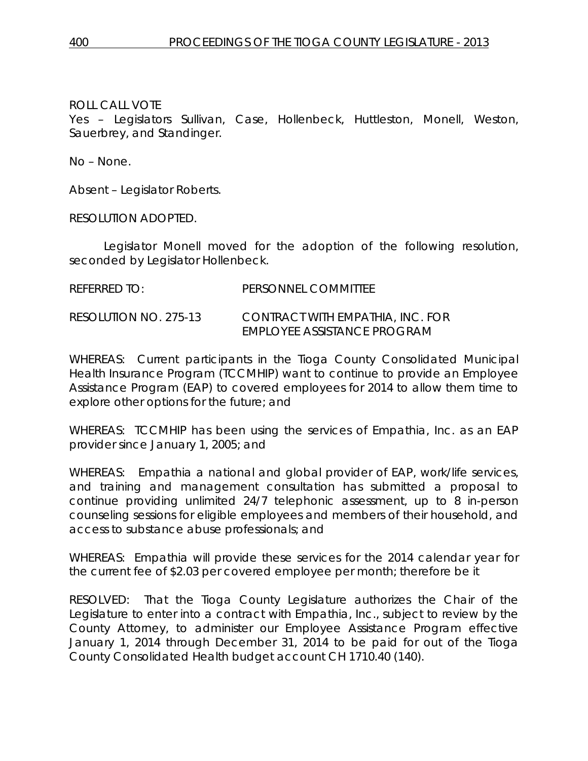Yes – Legislators Sullivan, Case, Hollenbeck, Huttleston, Monell, Weston, Sauerbrey, and Standinger.

No – None.

Absent – Legislator Roberts.

RESOLUTION ADOPTED.

Legislator Monell moved for the adoption of the following resolution, seconded by Legislator Hollenbeck.

# RESOLUTION NO. 275-13 *CONTRACT WITH EMPATHIA, INC. FOR EMPLOYEE ASSISTANCE PROGRAM*

WHEREAS: Current participants in the Tioga County Consolidated Municipal Health Insurance Program (TCCMHIP) want to continue to provide an Employee Assistance Program (EAP) to covered employees for 2014 to allow them time to explore other options for the future; and

WHEREAS: TCCMHIP has been using the services of Empathia, Inc. as an EAP provider since January 1, 2005; and

WHEREAS: Empathia a national and global provider of EAP, work/life services, and training and management consultation has submitted a proposal to continue providing unlimited 24/7 telephonic assessment, up to 8 in-person counseling sessions for eligible employees and members of their household, and access to substance abuse professionals; and

WHEREAS: Empathia will provide these services for the 2014 calendar year for the current fee of \$2.03 per covered employee per month; therefore be it

RESOLVED: That the Tioga County Legislature authorizes the Chair of the Legislature to enter into a contract with Empathia, Inc., subject to review by the County Attorney, to administer our Employee Assistance Program effective January 1, 2014 through December 31, 2014 to be paid for out of the Tioga County Consolidated Health budget account CH 1710.40 (140).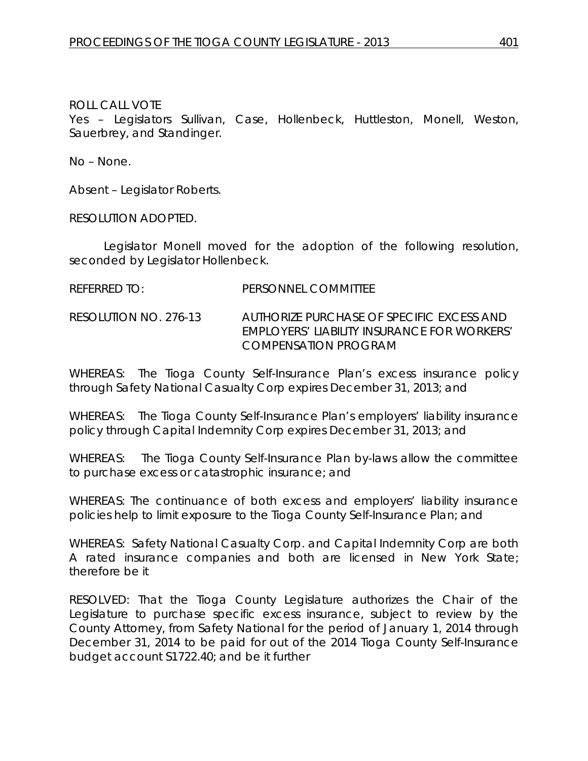Yes – Legislators Sullivan, Case, Hollenbeck, Huttleston, Monell, Weston, Sauerbrey, and Standinger.

No – None.

Absent – Legislator Roberts.

RESOLUTION ADOPTED.

Legislator Monell moved for the adoption of the following resolution, seconded by Legislator Hollenbeck.

REFERRED TO: PERSONNEL COMMITTEE

RESOLUTION NO. 276-13 *AUTHORIZE PURCHASE OF SPECIFIC EXCESS AND EMPLOYERS' LIABILITY INSURANCE FOR WORKERS' COMPENSATION PROGRAM*

WHEREAS: The Tioga County Self-Insurance Plan's excess insurance policy through Safety National Casualty Corp expires December 31, 2013; and

WHEREAS: The Tioga County Self-Insurance Plan's employers' liability insurance policy through Capital Indemnity Corp expires December 31, 2013; and

WHEREAS: The Tioga County Self-Insurance Plan by-laws allow the committee to purchase excess or catastrophic insurance; and

WHEREAS: The continuance of both excess and employers' liability insurance policies help to limit exposure to the Tioga County Self-Insurance Plan; and

WHEREAS: Safety National Casualty Corp. and Capital Indemnity Corp are both A rated insurance companies and both are licensed in New York State; therefore be it

RESOLVED: That the Tioga County Legislature authorizes the Chair of the Legislature to purchase specific excess insurance, subject to review by the County Attorney, from Safety National for the period of January 1, 2014 through December 31, 2014 to be paid for out of the 2014 Tioga County Self-Insurance budget account S1722.40; and be it further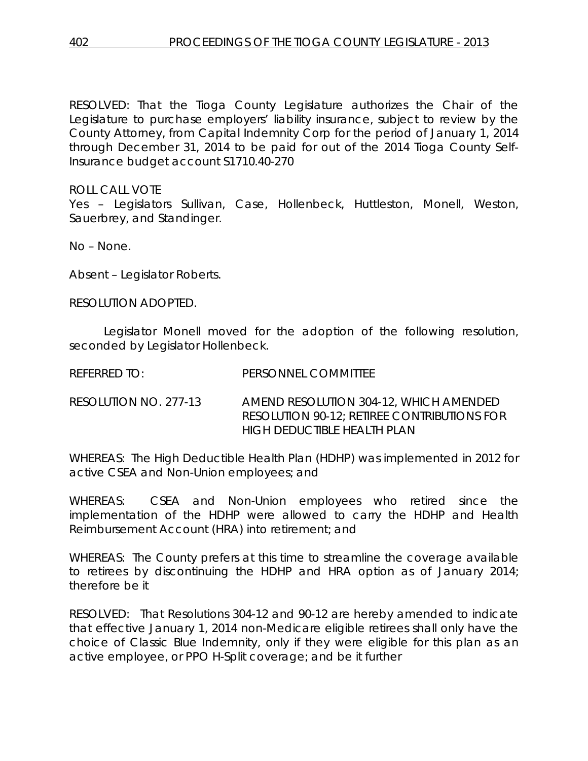RESOLVED: That the Tioga County Legislature authorizes the Chair of the Legislature to purchase employers' liability insurance, subject to review by the County Attorney, from Capital Indemnity Corp for the period of January 1, 2014 through December 31, 2014 to be paid for out of the 2014 Tioga County Self-Insurance budget account S1710.40-270

ROLL CALL VOTE Yes – Legislators Sullivan, Case, Hollenbeck, Huttleston, Monell, Weston, Sauerbrey, and Standinger.

No – None.

Absent – Legislator Roberts.

RESOLUTION ADOPTED.

Legislator Monell moved for the adoption of the following resolution, seconded by Legislator Hollenbeck.

REFERRED TO: PERSONNEL COMMITTEE

RESOLUTION NO. 277-13 *AMEND RESOLUTION 304-12, WHICH AMENDED RESOLUTION 90-12; RETIREE CONTRIBUTIONS FOR HIGH DEDUCTIBLE HEALTH PLAN*

WHEREAS: The High Deductible Health Plan (HDHP) was implemented in 2012 for active CSEA and Non-Union employees; and

WHEREAS: CSEA and Non-Union employees who retired since the implementation of the HDHP were allowed to carry the HDHP and Health Reimbursement Account (HRA) into retirement; and

WHEREAS: The County prefers at this time to streamline the coverage available to retirees by discontinuing the HDHP and HRA option as of January 2014; therefore be it

RESOLVED: That Resolutions 304-12 and 90-12 are hereby amended to indicate that effective January 1, 2014 non-Medicare eligible retirees shall only have the choice of Classic Blue Indemnity, only if they were eligible for this plan as an active employee, or PPO H-Split coverage; and be it further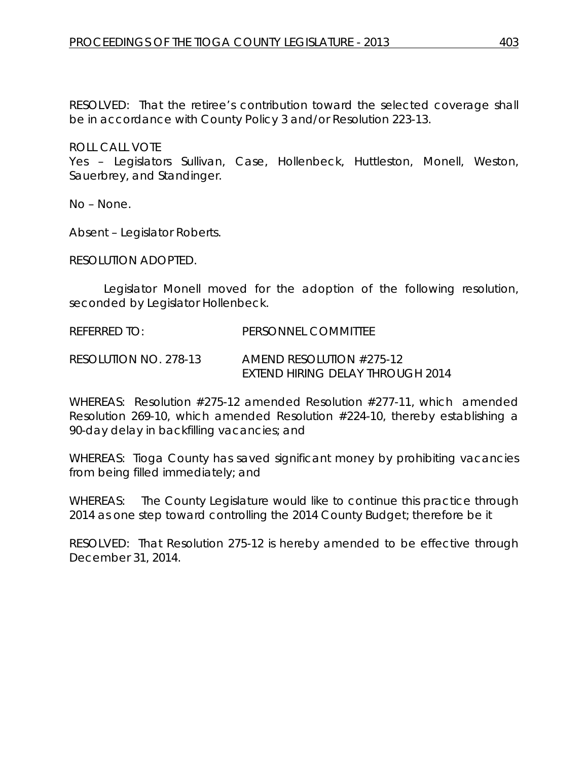RESOLVED: That the retiree's contribution toward the selected coverage shall be in accordance with County Policy 3 and/or Resolution 223-13.

ROLL CALL VOTE

Yes – Legislators Sullivan, Case, Hollenbeck, Huttleston, Monell, Weston, Sauerbrey, and Standinger.

No – None.

Absent – Legislator Roberts.

RESOLUTION ADOPTED.

Legislator Monell moved for the adoption of the following resolution, seconded by Legislator Hollenbeck.

REFERRED TO: PERSONNEL COMMITTEE

RESOLUTION NO. 278-13 *AMEND RESOLUTION #275-12 EXTEND HIRING DELAY THROUGH 2014*

WHEREAS: Resolution #275-12 amended Resolution #277-11, which amended Resolution 269-10, which amended Resolution #224-10, thereby establishing a 90-day delay in backfilling vacancies; and

WHEREAS: Tioga County has saved significant money by prohibiting vacancies from being filled immediately; and

WHEREAS: The County Legislature would like to continue this practice through 2014 as one step toward controlling the 2014 County Budget; therefore be it

RESOLVED: That Resolution 275-12 is hereby amended to be effective through December 31, 2014.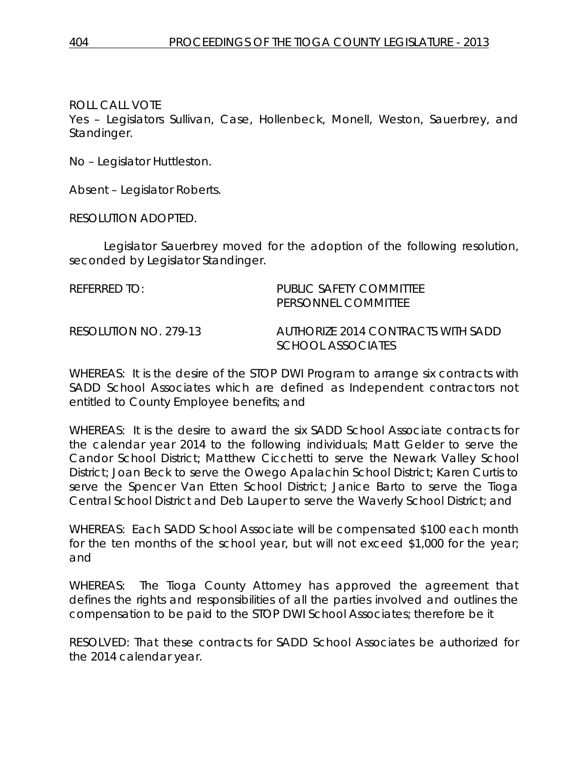Yes – Legislators Sullivan, Case, Hollenbeck, Monell, Weston, Sauerbrey, and Standinger.

No – Legislator Huttleston.

Absent – Legislator Roberts.

RESOLUTION ADOPTED.

Legislator Sauerbrey moved for the adoption of the following resolution, seconded by Legislator Standinger.

| REFERRED TO:          | PUBLIC SAFETY COMMITTEE<br>PERSONNEL COMMITTEE                 |
|-----------------------|----------------------------------------------------------------|
| RESOLUTION NO. 279-13 | AUTHORIZE 2014 CONTRACTS WITH SADD<br><i>SCHOOL ASSOCIATES</i> |

WHEREAS: It is the desire of the STOP DWI Program to arrange six contracts with SADD School Associates which are defined as Independent contractors not entitled to County Employee benefits; and

WHEREAS: It is the desire to award the six SADD School Associate contracts for the calendar year 2014 to the following individuals; Matt Gelder to serve the Candor School District; Matthew Cicchetti to serve the Newark Valley School District; Joan Beck to serve the Owego Apalachin School District; Karen Curtis to serve the Spencer Van Etten School District; Janice Barto to serve the Tioga Central School District and Deb Lauper to serve the Waverly School District; and

WHEREAS: Each SADD School Associate will be compensated \$100 each month for the ten months of the school year, but will not exceed \$1,000 for the year; and

WHEREAS: The Tioga County Attorney has approved the agreement that defines the rights and responsibilities of all the parties involved and outlines the compensation to be paid to the STOP DWI School Associates; therefore be it

RESOLVED: That these contracts for SADD School Associates be authorized for the 2014 calendar year.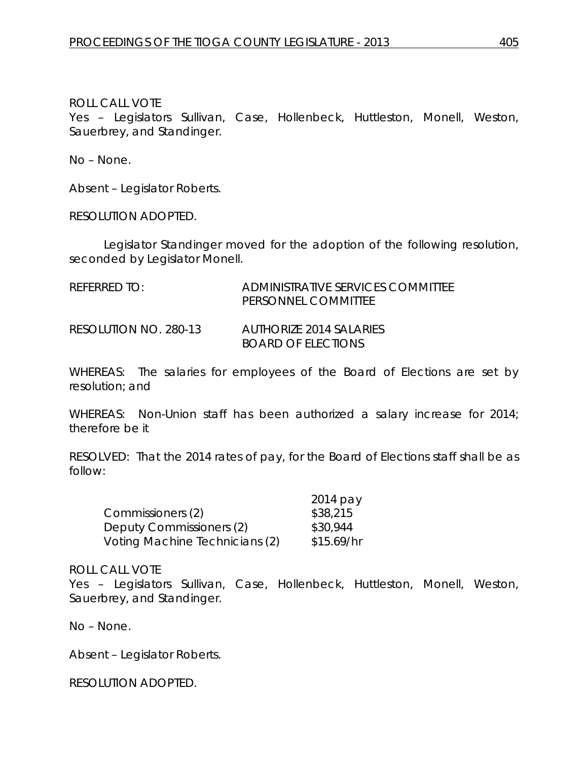Yes – Legislators Sullivan, Case, Hollenbeck, Huttleston, Monell, Weston, Sauerbrey, and Standinger.

No – None.

Absent – Legislator Roberts.

RESOLUTION ADOPTED.

Legislator Standinger moved for the adoption of the following resolution, seconded by Legislator Monell.

| REFERRED TO:          | ADMINISTRATIVE SERVICES COMMITTEE<br>PERSONNEL COMMITTEE |
|-----------------------|----------------------------------------------------------|
| RESOLUTION NO. 280-13 | AUTHORIZE 2014 SALARIES<br><b>BOARD OF ELECTIONS</b>     |

WHEREAS: The salaries for employees of the Board of Elections are set by resolution; and

WHEREAS: Non-Union staff has been authorized a salary increase for 2014; therefore be it

RESOLVED: That the 2014 rates of pay, for the Board of Elections staff shall be as follow:

|                                | 2014 pay   |
|--------------------------------|------------|
| Commissioners (2)              | \$38,215   |
| Deputy Commissioners (2)       | \$30,944   |
| Voting Machine Technicians (2) | \$15.69/hr |

### ROLL CALL VOTE

Yes – Legislators Sullivan, Case, Hollenbeck, Huttleston, Monell, Weston, Sauerbrey, and Standinger.

No – None.

Absent – Legislator Roberts.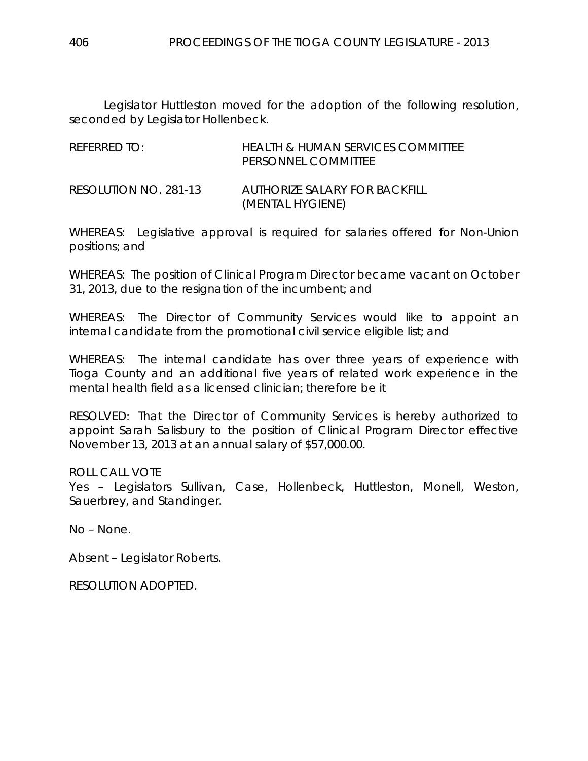Legislator Huttleston moved for the adoption of the following resolution, seconded by Legislator Hollenbeck.

| REFERRED TO:          | HEALTH & HUMAN SERVICES COMMITTEE<br>PERSONNEL COMMITTEE |
|-----------------------|----------------------------------------------------------|
| RESOLUTION NO. 281-13 | AUTHORIZE SALARY FOR BACKEILL<br>(MENTAL HYGIENE)        |

WHEREAS: Legislative approval is required for salaries offered for Non-Union positions; and

WHEREAS: The position of Clinical Program Director became vacant on October 31, 2013, due to the resignation of the incumbent; and

WHEREAS: The Director of Community Services would like to appoint an internal candidate from the promotional civil service eligible list; and

WHEREAS: The internal candidate has over three years of experience with Tioga County and an additional five years of related work experience in the mental health field as a licensed clinician; therefore be it

RESOLVED: That the Director of Community Services is hereby authorized to appoint Sarah Salisbury to the position of Clinical Program Director effective November 13, 2013 at an annual salary of \$57,000.00.

ROLL CALL VOTE

Yes – Legislators Sullivan, Case, Hollenbeck, Huttleston, Monell, Weston, Sauerbrey, and Standinger.

No – None.

Absent – Legislator Roberts.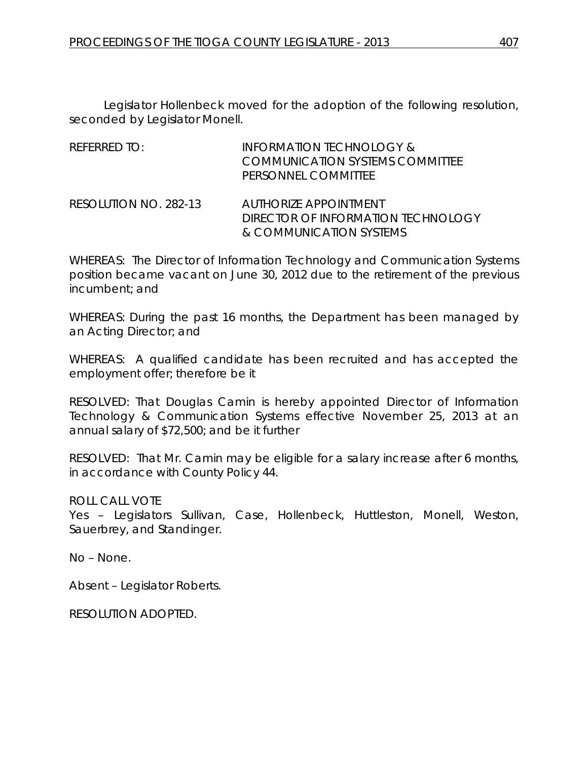Legislator Hollenbeck moved for the adoption of the following resolution, seconded by Legislator Monell.

| REFERRED TO: | INFORMATION TECHNOLOGY &        |
|--------------|---------------------------------|
|              | COMMUNICATION SYSTEMS COMMITTEE |
|              | PERSONNEL COMMITTEE             |
|              |                                 |

RESOLUTION NO. 282-13 *AUTHORIZE APPOINTMENT DIRECTOR OF INFORMATION TECHNOLOGY & COMMUNICATION SYSTEMS*

WHEREAS: The Director of Information Technology and Communication Systems position became vacant on June 30, 2012 due to the retirement of the previous incumbent; and

WHEREAS: During the past 16 months, the Department has been managed by an Acting Director; and

WHEREAS: A qualified candidate has been recruited and has accepted the employment offer; therefore be it

RESOLVED: That Douglas Camin is hereby appointed Director of Information Technology & Communication Systems effective November 25, 2013 at an annual salary of \$72,500; and be it further

RESOLVED: That Mr. Camin may be eligible for a salary increase after 6 months, in accordance with County Policy 44.

ROLL CALL VOTE

Yes – Legislators Sullivan, Case, Hollenbeck, Huttleston, Monell, Weston, Sauerbrey, and Standinger.

No – None.

Absent – Legislator Roberts.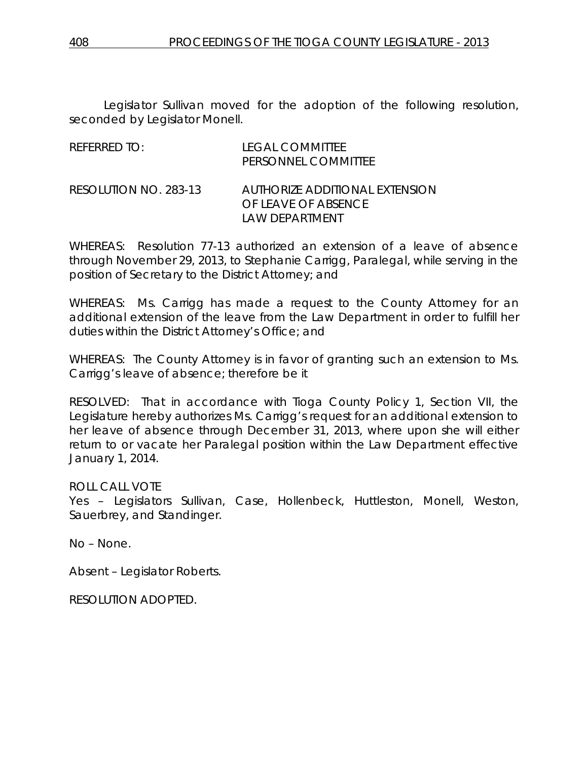Legislator Sullivan moved for the adoption of the following resolution, seconded by Legislator Monell.

| REFERRED TO:          | <b>LEGAL COMMITTEE</b><br>PERSONNEL COMMITTEE                           |
|-----------------------|-------------------------------------------------------------------------|
| RESOLUTION NO. 283-13 | AUTHORIZE ADDITIONAL EXTENSION<br>OF LEAVE OF ABSENCE<br>LAW DEPARTMENT |

WHEREAS: Resolution 77-13 authorized an extension of a leave of absence through November 29, 2013, to Stephanie Carrigg, Paralegal, while serving in the position of Secretary to the District Attorney; and

WHEREAS: Ms. Carrigg has made a request to the County Attorney for an additional extension of the leave from the Law Department in order to fulfill her duties within the District Attorney's Office; and

WHEREAS: The County Attorney is in favor of granting such an extension to Ms. Carrigg's leave of absence; therefore be it

RESOLVED: That in accordance with Tioga County Policy 1, Section VII, the Legislature hereby authorizes Ms. Carrigg's request for an additional extension to her leave of absence through December 31, 2013, where upon she will either return to or vacate her Paralegal position within the Law Department effective January 1, 2014.

ROLL CALL VOTE

Yes – Legislators Sullivan, Case, Hollenbeck, Huttleston, Monell, Weston, Sauerbrey, and Standinger.

No – None.

Absent – Legislator Roberts.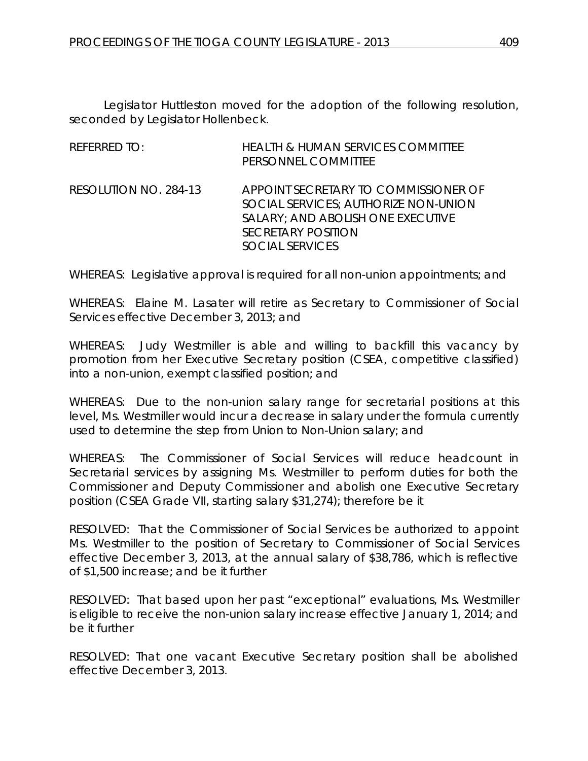Legislator Huttleston moved for the adoption of the following resolution, seconded by Legislator Hollenbeck.

| REFERRED TO:          | <b>HEALTH &amp; HUMAN SERVICES COMMITTEE</b><br>PERSONNEL COMMITTEE                                                                                                      |
|-----------------------|--------------------------------------------------------------------------------------------------------------------------------------------------------------------------|
| RESOLUTION NO. 284-13 | APPOINT SECRETARY TO COMMISSIONER OF<br>SOCIAL SERVICES; AUTHORIZE NON-UNION<br>SALARY; AND ABOLISH ONE EXECUTIVE<br><b>SECRETARY POSITION</b><br><b>SOCIAL SERVICES</b> |

WHEREAS: Legislative approval is required for all non-union appointments; and

WHEREAS: Elaine M. Lasater will retire as Secretary to Commissioner of Social Services effective December 3, 2013; and

WHEREAS: Judy Westmiller is able and willing to backfill this vacancy by promotion from her Executive Secretary position (CSEA, competitive classified) into a non-union, exempt classified position; and

WHEREAS: Due to the non-union salary range for secretarial positions at this level, Ms. Westmiller would incur a decrease in salary under the formula currently used to determine the step from Union to Non-Union salary; and

WHEREAS: The Commissioner of Social Services will reduce headcount in Secretarial services by assigning Ms. Westmiller to perform duties for both the Commissioner and Deputy Commissioner and abolish one Executive Secretary position (CSEA Grade VII, starting salary \$31,274); therefore be it

RESOLVED: That the Commissioner of Social Services be authorized to appoint Ms. Westmiller to the position of Secretary to Commissioner of Social Services effective December 3, 2013, at the annual salary of \$38,786, which is reflective of \$1,500 increase; and be it further

RESOLVED: That based upon her past "exceptional" evaluations, Ms. Westmiller is eligible to receive the non-union salary increase effective January 1, 2014; and be it further

RESOLVED: That one vacant Executive Secretary position shall be abolished effective December 3, 2013.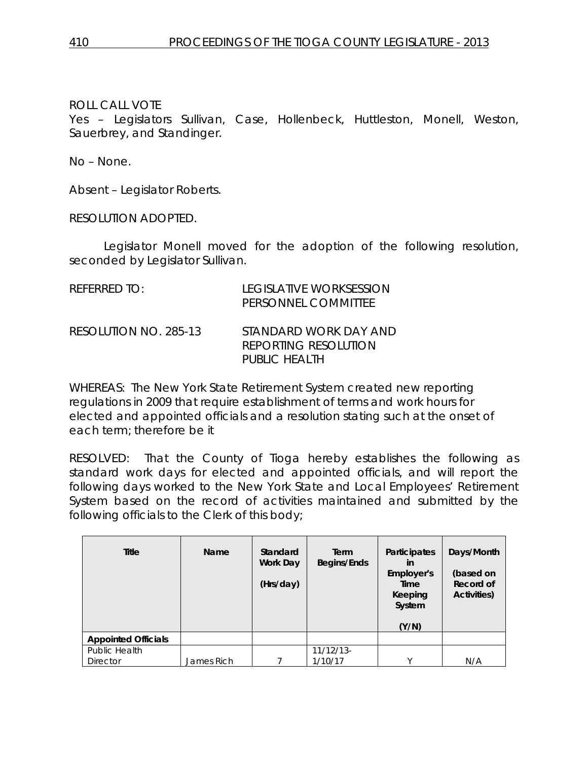Yes – Legislators Sullivan, Case, Hollenbeck, Huttleston, Monell, Weston, Sauerbrey, and Standinger.

No – None.

Absent – Legislator Roberts.

RESOLUTION ADOPTED.

Legislator Monell moved for the adoption of the following resolution, seconded by Legislator Sullivan.

| $R$ FFFRRFD TO:       | LEGISLATIVE WORKSESSION<br>PERSONNEL COMMITTEE                 |
|-----------------------|----------------------------------------------------------------|
| RESOLUTION NO. 285-13 | STANDARD WORK DAY AND<br>REPORTING RESOLUTION<br>PUBLIC HEALTH |

WHEREAS: The New York State Retirement System created new reporting regulations in 2009 that require establishment of terms and work hours for elected and appointed officials and a resolution stating such at the onset of each term; therefore be it

RESOLVED: That the County of Tioga hereby establishes the following as standard work days for elected and appointed officials, and will report the following days worked to the New York State and Local Employees' Retirement System based on the record of activities maintained and submitted by the following officials to the Clerk of this body;

| <b>Title</b>               | Name       | Standard<br><b>Work Day</b><br>(Hrs/day) | Term<br>Begins/Ends | Participates<br>in<br>Employer's<br>Time<br>Keeping<br>System<br>(Y/N) | Days/Month<br>(based on<br>Record of<br>Activities) |
|----------------------------|------------|------------------------------------------|---------------------|------------------------------------------------------------------------|-----------------------------------------------------|
| <b>Appointed Officials</b> |            |                                          |                     |                                                                        |                                                     |
| Public Health              |            |                                          | $11/12/13$ -        |                                                                        |                                                     |
| <b>Director</b>            | James Rich |                                          | 1/10/17             | $\checkmark$                                                           | N/A                                                 |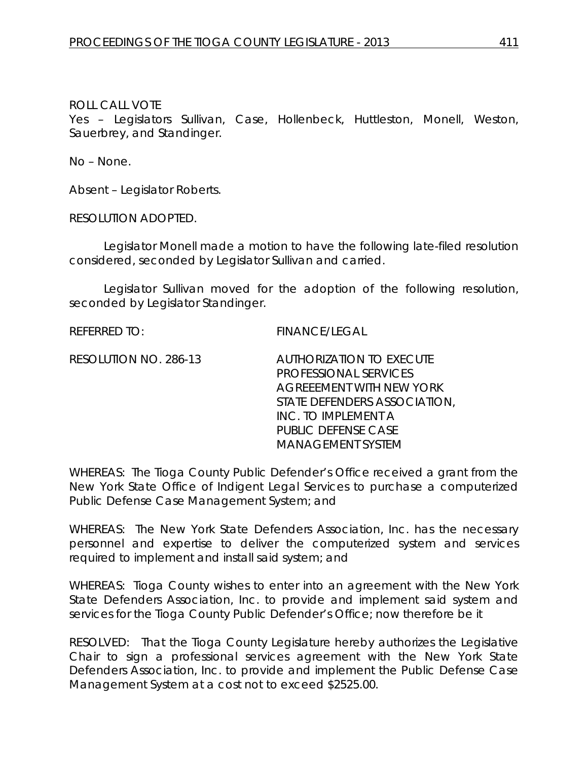Yes – Legislators Sullivan, Case, Hollenbeck, Huttleston, Monell, Weston, Sauerbrey, and Standinger.

No – None.

Absent – Legislator Roberts.

RESOLUTION ADOPTED.

Legislator Monell made a motion to have the following late-filed resolution considered, seconded by Legislator Sullivan and carried.

Legislator Sullivan moved for the adoption of the following resolution, seconded by Legislator Standinger.

REFERRED TO: FINANCE/LEGAL

RESOLUTION NO. 286-13 *AUTHORIZATION TO EXECUTE PROFESSIONAL SERVICES AGREEEMENT WITH NEW YORK STATE DEFENDERS ASSOCIATION, INC. TO IMPLEMENT A PUBLIC DEFENSE CASE MANAGEMENT SYSTEM*

WHEREAS: The Tioga County Public Defender's Office received a grant from the New York State Office of Indigent Legal Services to purchase a computerized Public Defense Case Management System; and

WHEREAS: The New York State Defenders Association, Inc. has the necessary personnel and expertise to deliver the computerized system and services required to implement and install said system; and

WHEREAS: Tioga County wishes to enter into an agreement with the New York State Defenders Association, Inc. to provide and implement said system and services for the Tioga County Public Defender's Office; now therefore be it

RESOLVED: That the Tioga County Legislature hereby authorizes the Legislative Chair to sign a professional services agreement with the New York State Defenders Association, Inc. to provide and implement the Public Defense Case Management System at a cost not to exceed \$2525.00.